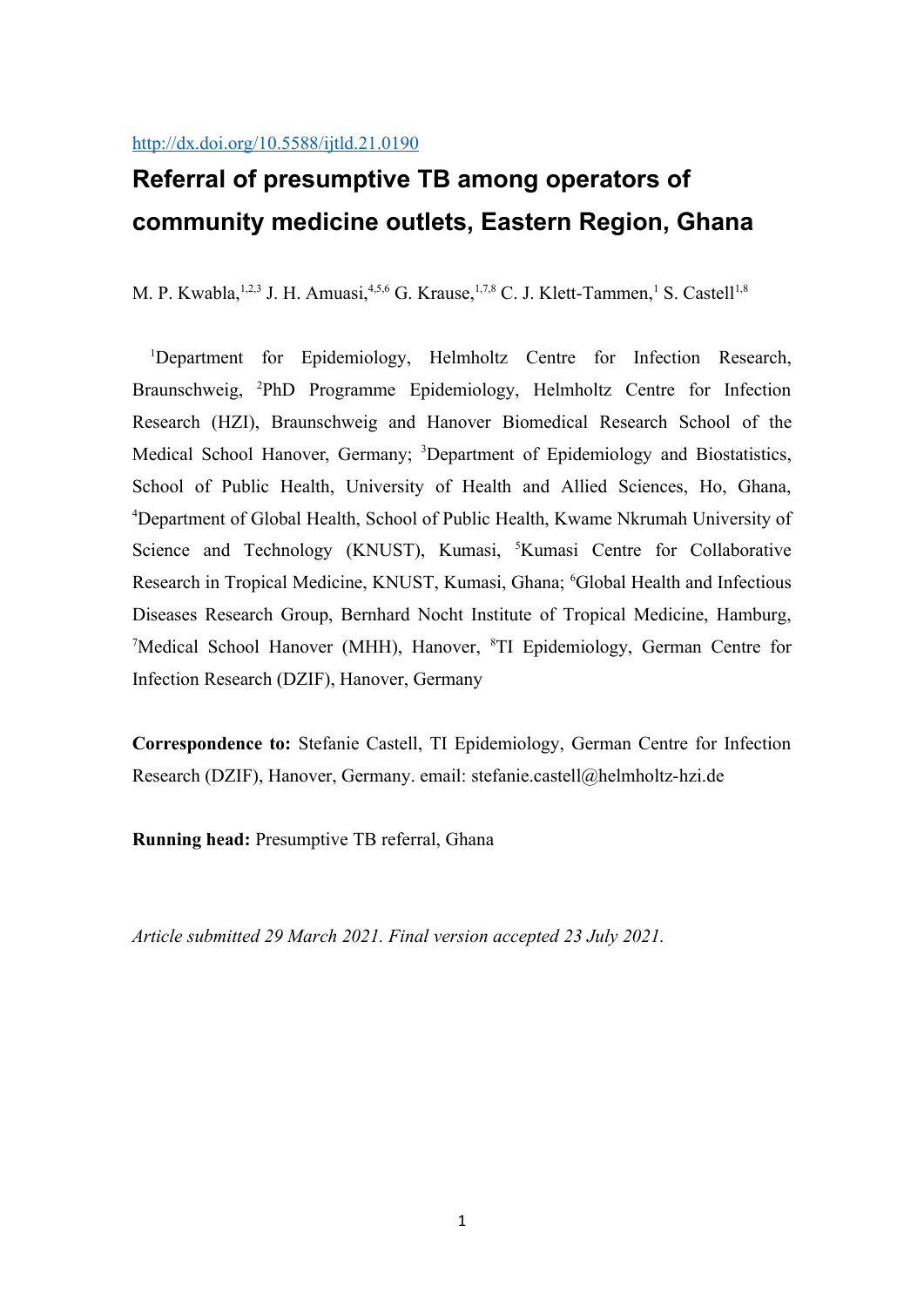# **Referral of presumptive TB among operators of community medicine outlets, Eastern Region, Ghana**

M. P. Kwabla,  $^{1,2,3}$  J. H. Amuasi,  $^{4,5,6}$  G. Krause,  $^{1,7,8}$  C. J. Klett-Tammen,  $^1$  S. Castell  $^{1,8}$ 

<sup>1</sup>Department for Epidemiology, Helmholtz Centre for Infection Research, Braunschweig, <sup>2</sup>PhD Programme Epidemiology, Helmholtz Centre for Infection Research (HZI), Braunschweig and Hanover Biomedical Research School of the Medical School Hanover, Germany; <sup>3</sup>Department of Epidemiology and Biostatistics, School of Public Health, University of Health and Allied Sciences, Ho, Ghana, <sup>4</sup>Department of Global Health, School of Public Health, Kwame Nkrumah University of Science and Technology (KNUST), Kumasi, <sup>5</sup>Kumasi Centre for Collaborative Research in Tropical Medicine, KNUST, Kumasi, Ghana; <sup>6</sup>Global Health and Infectious Diseases Research Group, Bernhard Nocht Institute of Tropical Medicine, Hamburg, <sup>7</sup>Medical School Hanover (MHH), Hanover, <sup>8</sup>TI Epidemiology, German Centre for Infection Research (DZIF), Hanover, Germany

**Correspondence to:** Stefanie Castell, TI Epidemiology, German Centre for Infection Research (DZIF), Hanover, Germany. email: stefanie.castell@helmholtz-hzi.de

**Running head:** Presumptive TB referral, Ghana

*Article submitted 29 March 2021. Final version accepted 23 July 2021.*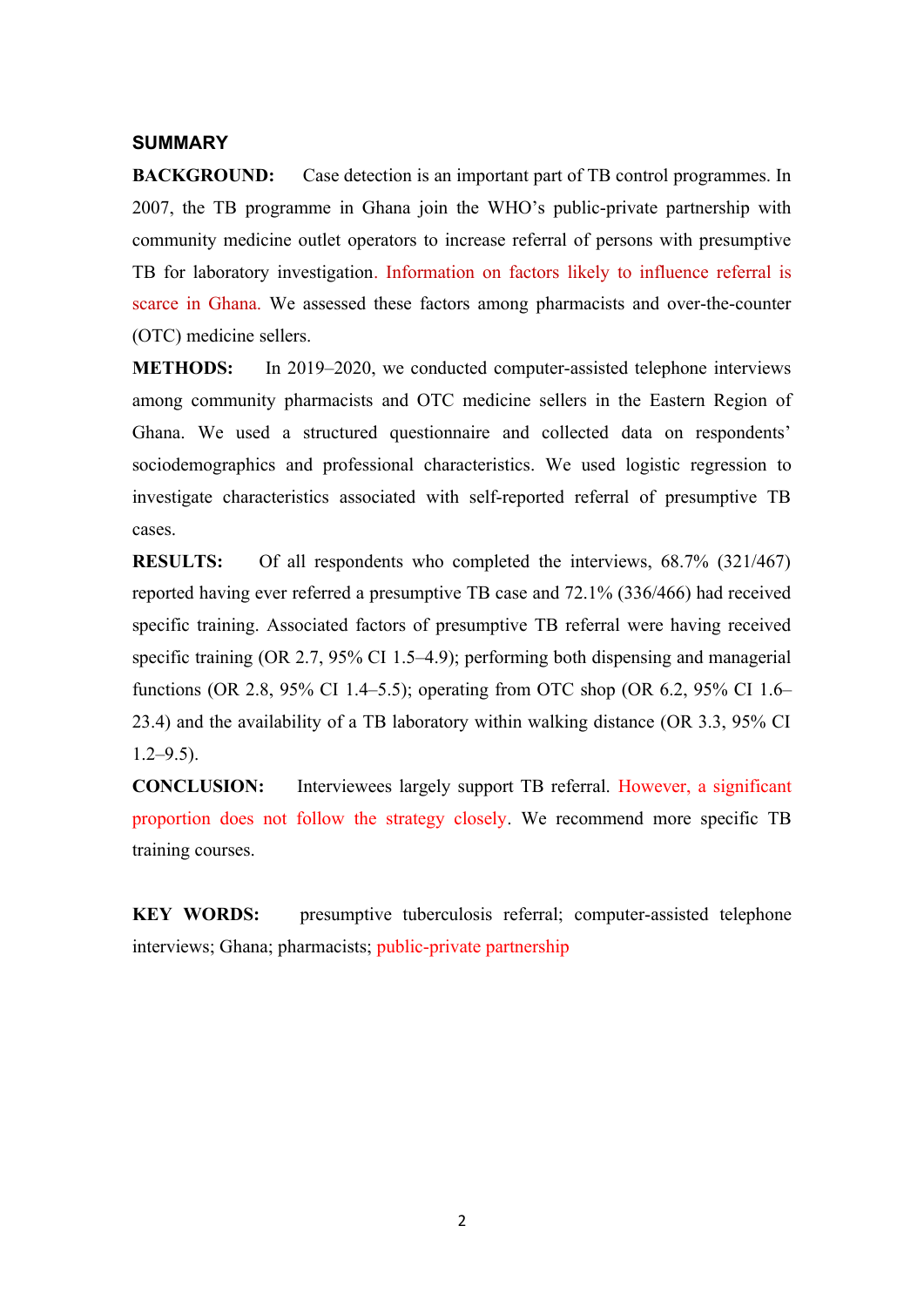# **SUMMARY**

**BACKGROUND:** Case detection is an important part of TB control programmes. In 2007, the TB programme in Ghana join the WHO's public-private partnership with community medicine outlet operators to increase referral of persons with presumptive TB for laboratory investigation. Information on factors likely to influence referral is scarce in Ghana. We assessed these factors among pharmacists and over-the-counter (OTC) medicine sellers.

**METHODS:** In 2019–2020, we conducted computer-assisted telephone interviews among community pharmacists and OTC medicine sellers in the Eastern Region of Ghana. We used a structured questionnaire and collected data on respondents' sociodemographics and professional characteristics. We used logistic regression to investigate characteristics associated with self-reported referral of presumptive TB cases.

**RESULTS:** Of all respondents who completed the interviews, 68.7% (321/467) reported having ever referred a presumptive TB case and 72.1% (336/466) had received specific training. Associated factors of presumptive TB referral were having received specific training (OR 2.7, 95% CI 1.5–4.9); performing both dispensing and managerial functions (OR 2.8, 95% CI 1.4–5.5); operating from OTC shop (OR 6.2, 95% CI 1.6– 23.4) and the availability of a TB laboratory within walking distance (OR 3.3, 95% CI  $1.2 - 9.5$ ).

**CONCLUSION:** Interviewees largely support TB referral. However, a significant proportion does not follow the strategy closely. We recommend more specific TB training courses.

**KEY WORDS:** presumptive tuberculosis referral; computer-assisted telephone interviews; Ghana; pharmacists; public-private partnership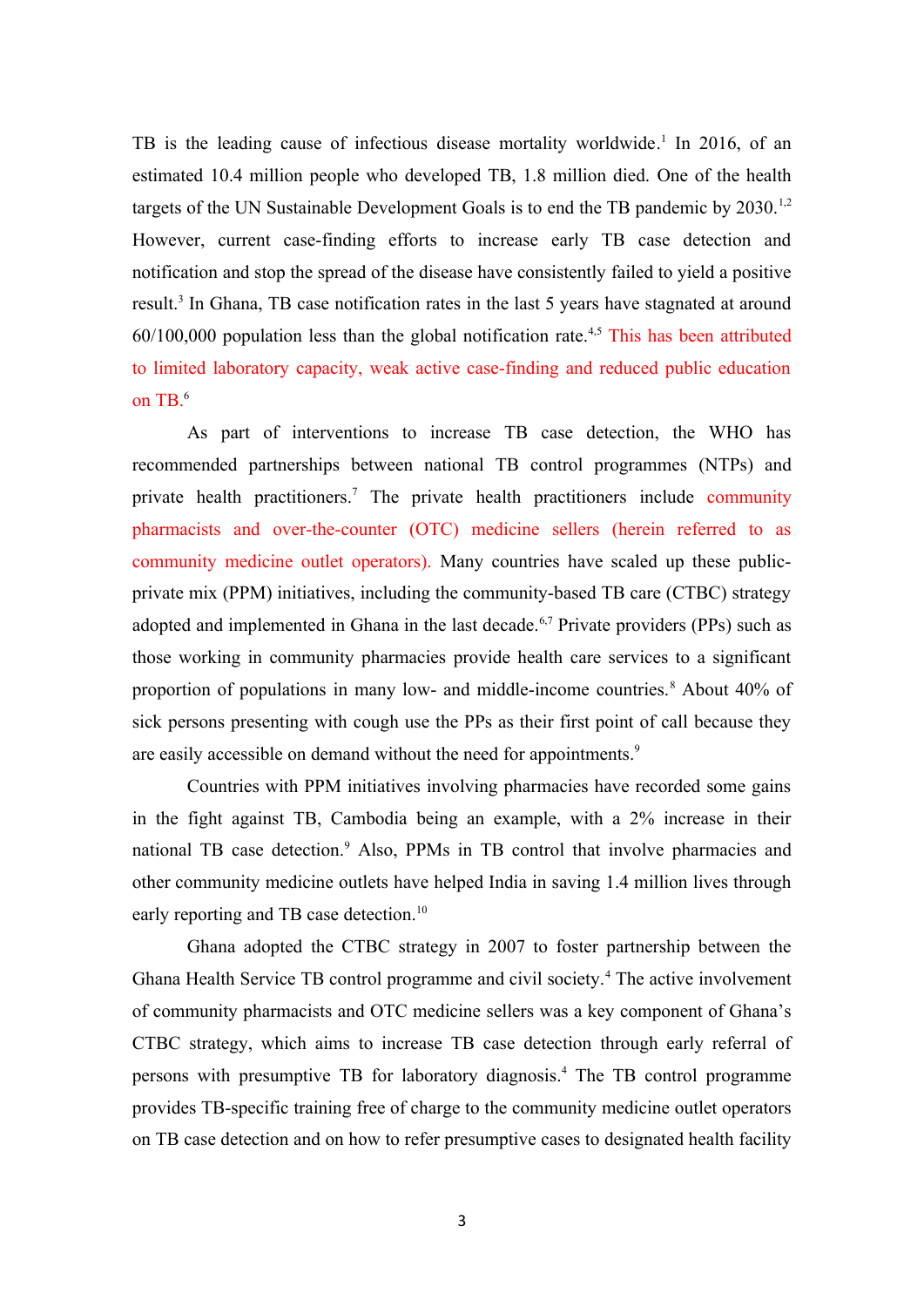TB is the leading cause of infectious disease mortality worldwide.<sup>1</sup> In 2016, of an estimated 10.4 million people who developed TB, 1.8 million died. One of the health targets of the UN Sustainable Development Goals is to end the TB pandemic by 2030.<sup>1,2</sup> However, current case-finding efforts to increase early TB case detection and notification and stop the spread of the disease have consistently failed to yield a positive result.<sup>3</sup> In Ghana, TB case notification rates in the last 5 years have stagnated at around  $60/100,000$  population less than the global notification rate.<sup>4,5</sup> This has been attributed to limited laboratory capacity, weak active case-finding and reduced public education on  $TB<sup>6</sup>$ 

As part of interventions to increase TB case detection, the WHO has recommended partnerships between national TB control programmes (NTPs) and private health practitioners.<sup>7</sup> The private health practitioners include community pharmacists and over-the-counter (OTC) medicine sellers (herein referred to as community medicine outlet operators). Many countries have scaled up these publicprivate mix (PPM) initiatives, including the community-based TB care (CTBC) strategy adopted and implemented in Ghana in the last decade.<sup>6,7</sup> Private providers (PPs) such as those working in community pharmacies provide health care services to a significant proportion of populations in many low- and middle-income countries.<sup>8</sup> About 40% of sick persons presenting with cough use the PPs as their first point of call because they are easily accessible on demand without the need for appointments.<sup>9</sup>

Countries with PPM initiatives involving pharmacies have recorded some gains in the fight against TB, Cambodia being an example, with a 2% increase in their national TB case detection.<sup>9</sup> Also, PPMs in TB control that involve pharmacies and other community medicine outlets have helped India in saving 1.4 million lives through early reporting and TB case detection.<sup>10</sup>

Ghana adopted the CTBC strategy in 2007 to foster partnership between the Ghana Health Service TB control programme and civil society.<sup>4</sup> The active involvement of community pharmacists and OTC medicine sellers was a key component of Ghana's CTBC strategy, which aims to increase TB case detection through early referral of persons with presumptive TB for laboratory diagnosis. <sup>4</sup> The TB control programme provides TB-specific training free of charge to the community medicine outlet operators on TB case detection and on how to refer presumptive cases to designated health facility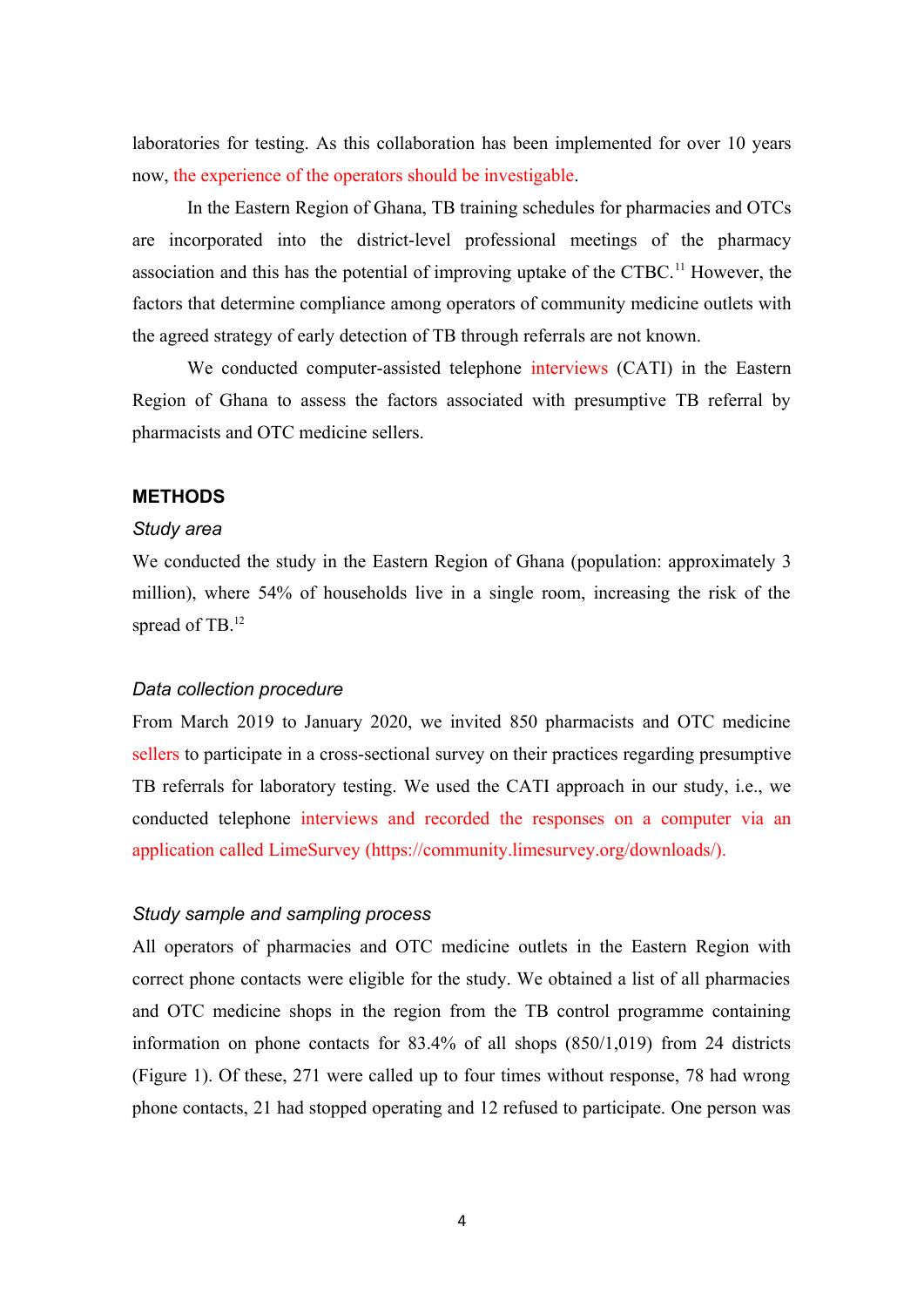laboratories for testing. As this collaboration has been implemented for over 10 years now, the experience of the operators should be investigable.

In the Eastern Region of Ghana, TB training schedules for pharmacies and OTCs are incorporated into the district-level professional meetings of the pharmacy association and this has the potential of improving uptake of the CTBC.<sup>11</sup> However, the factors that determine compliance among operators of community medicine outlets with the agreed strategy of early detection of TB through referrals are not known.

We conducted computer-assisted telephone interviews (CATI) in the Eastern Region of Ghana to assess the factors associated with presumptive TB referral by pharmacists and OTC medicine sellers.

#### **METHODS**

#### *Study area*

We conducted the study in the Eastern Region of Ghana (population: approximately 3 million), where 54% of households live in a single room, increasing the risk of the spread of TB.<sup>12</sup>

# *Data collection procedure*

From March 2019 to January 2020, we invited 850 pharmacists and OTC medicine sellers to participate in a cross-sectional survey on their practices regarding presumptive TB referrals for laboratory testing. We used the CATI approach in our study, i.e., we conducted telephone interviews and recorded the responses on a computer via an application called LimeSurvey (https://community.limesurvey.org/downloads/).

#### *Study sample and sampling process*

All operators of pharmacies and OTC medicine outlets in the Eastern Region with correct phone contacts were eligible for the study. We obtained a list of all pharmacies and OTC medicine shops in the region from the TB control programme containing information on phone contacts for 83.4% of all shops (850/1,019) from 24 districts (Figure 1). Of these, 271 were called up to four times without response, 78 had wrong phone contacts, 21 had stopped operating and 12 refused to participate. One person was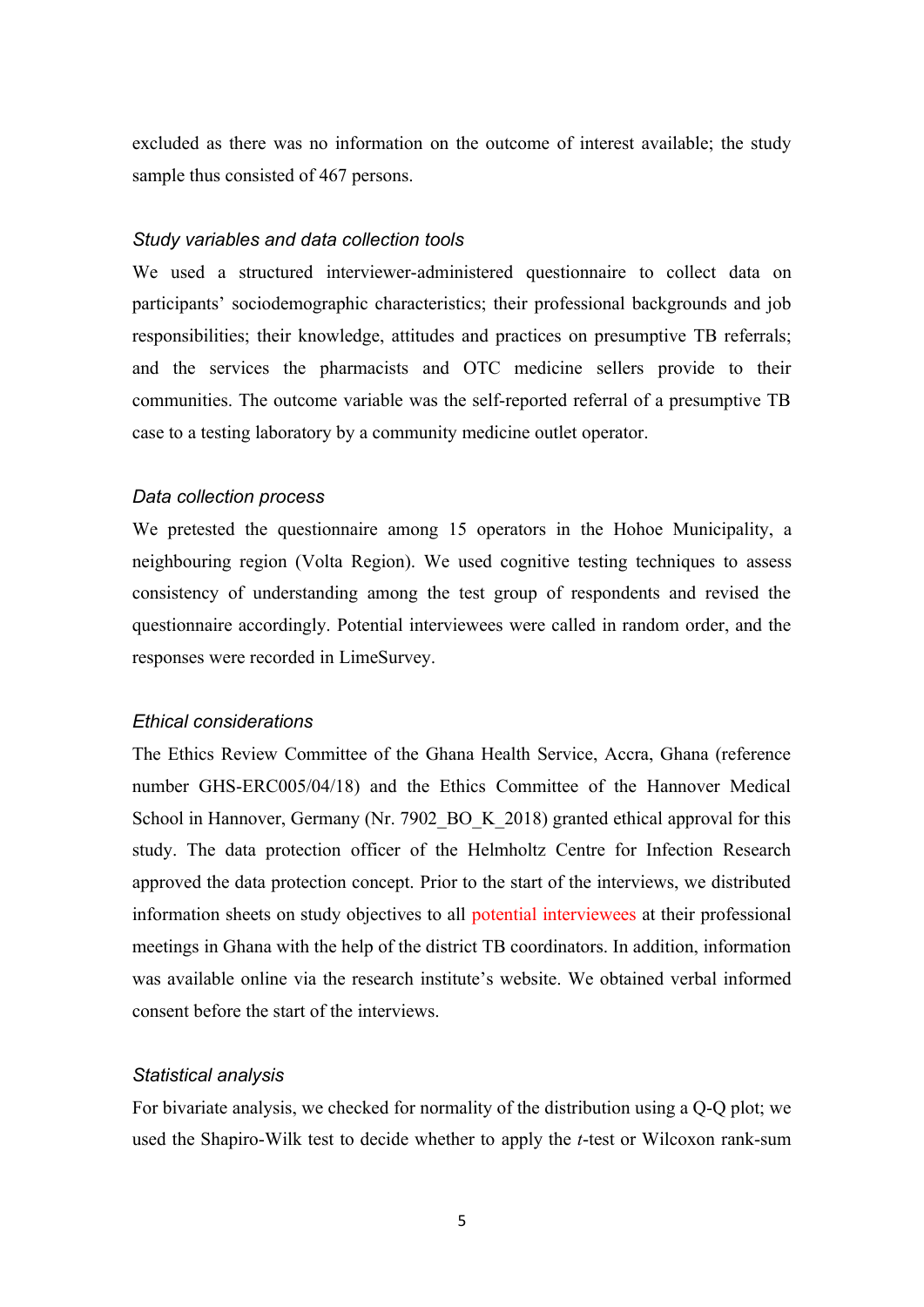excluded as there was no information on the outcome of interest available; the study sample thus consisted of 467 persons.

#### *Study variables and data collection tools*

We used a structured interviewer-administered questionnaire to collect data on participants' sociodemographic characteristics; their professional backgrounds and job responsibilities; their knowledge, attitudes and practices on presumptive TB referrals; and the services the pharmacists and OTC medicine sellers provide to their communities. The outcome variable was the self-reported referral of a presumptive TB case to a testing laboratory by a community medicine outlet operator.

#### *Data collection process*

We pretested the questionnaire among 15 operators in the Hohoe Municipality, a neighbouring region (Volta Region). We used cognitive testing techniques to assess consistency of understanding among the test group of respondents and revised the questionnaire accordingly. Potential interviewees were called in random order, and the responses were recorded in LimeSurvey.

# *Ethical considerations*

The Ethics Review Committee of the Ghana Health Service, Accra, Ghana (reference number GHS-ERC005/04/18) and the Ethics Committee of the Hannover Medical School in Hannover, Germany (Nr. 7902 BO K 2018) granted ethical approval for this study. The data protection officer of the Helmholtz Centre for Infection Research approved the data protection concept. Prior to the start of the interviews, we distributed information sheets on study objectives to all potential interviewees at their professional meetings in Ghana with the help of the district TB coordinators. In addition, information was available online via the research institute's website. We obtained verbal informed consent before the start of the interviews.

#### *Statistical analysis*

For bivariate analysis, we checked for normality of the distribution using a Q-Q plot; we used the Shapiro-Wilk test to decide whether to apply the *t*-test or Wilcoxon rank-sum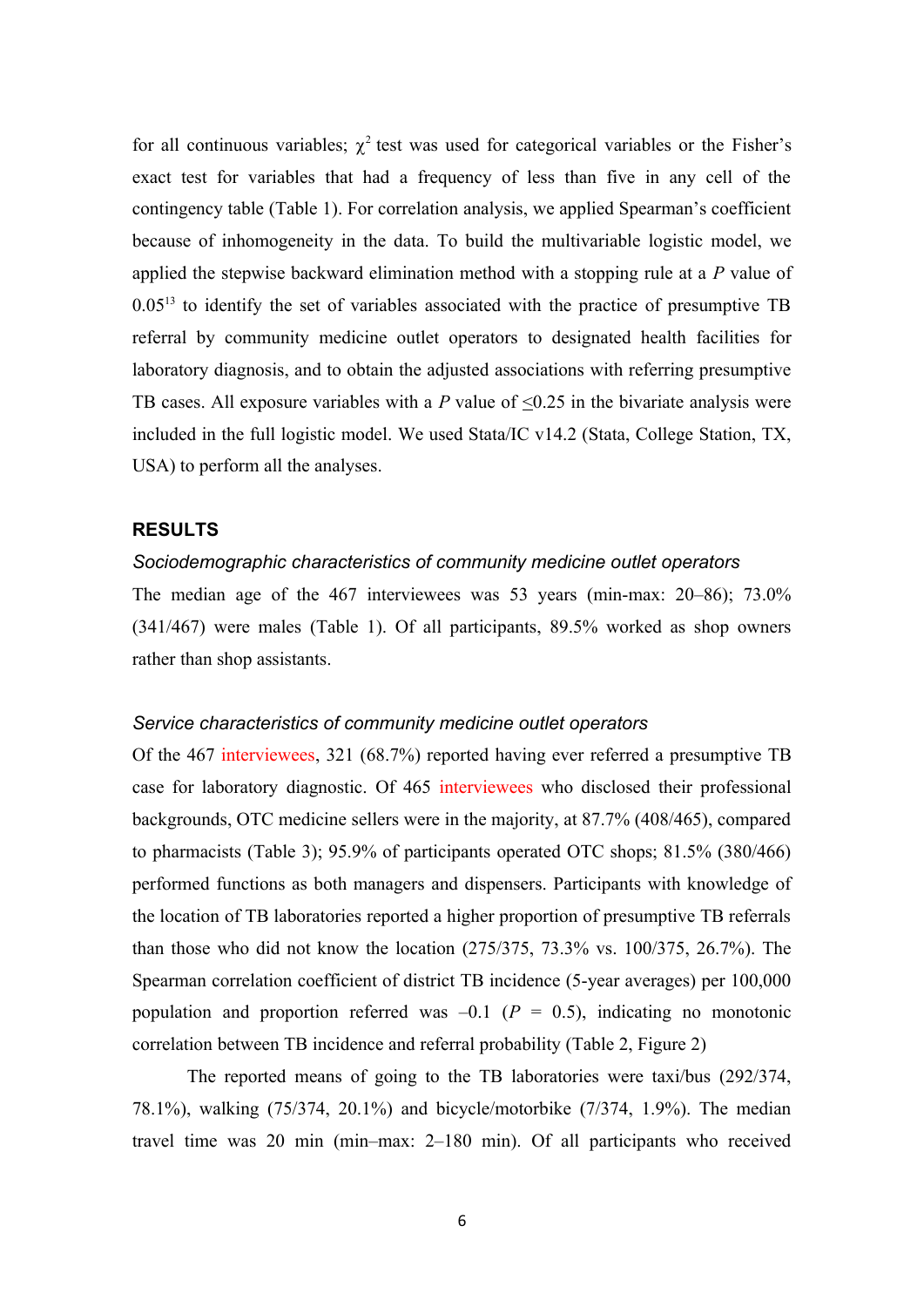for all continuous variables;  $\chi^2$  test was used for categorical variables or the Fisher's exact test for variables that had a frequency of less than five in any cell of the contingency table (Table 1). For correlation analysis, we applied Spearman's coefficient because of inhomogeneity in the data. To build the multivariable logistic model, we applied the stepwise backward elimination method with a stopping rule at a *P* value of  $0.05<sup>13</sup>$  to identify the set of variables associated with the practice of presumptive TB referral by community medicine outlet operators to designated health facilities for laboratory diagnosis, and to obtain the adjusted associations with referring presumptive TB cases. All exposure variables with a *P* value of <0.25 in the bivariate analysis were included in the full logistic model. We used Stata/IC v14.2 (Stata, College Station, TX, USA) to perform all the analyses.

#### **RESULTS**

# *Sociodemographic characteristics of community medicine outlet operators*

The median age of the 467 interviewees was 53 years (min-max: 20–86); 73.0% (341/467) were males (Table 1). Of all participants, 89.5% worked as shop owners rather than shop assistants.

# *Service characteristics of community medicine outlet operators*

Of the 467 interviewees, 321 (68.7%) reported having ever referred a presumptive TB case for laboratory diagnostic. Of 465 interviewees who disclosed their professional backgrounds, OTC medicine sellers were in the majority, at 87.7% (408/465), compared to pharmacists (Table 3); 95.9% of participants operated OTC shops; 81.5% (380/466) performed functions as both managers and dispensers. Participants with knowledge of the location of TB laboratories reported a higher proportion of presumptive TB referrals than those who did not know the location (275/375, 73.3% vs. 100/375, 26.7%). The Spearman correlation coefficient of district TB incidence (5-year averages) per 100,000 population and proportion referred was  $-0.1$  ( $P = 0.5$ ), indicating no monotonic correlation between TB incidence and referral probability (Table 2, Figure 2)

The reported means of going to the TB laboratories were taxi/bus (292/374, 78.1%), walking (75/374, 20.1%) and bicycle/motorbike (7/374, 1.9%). The median travel time was 20 min (min–max: 2–180 min). Of all participants who received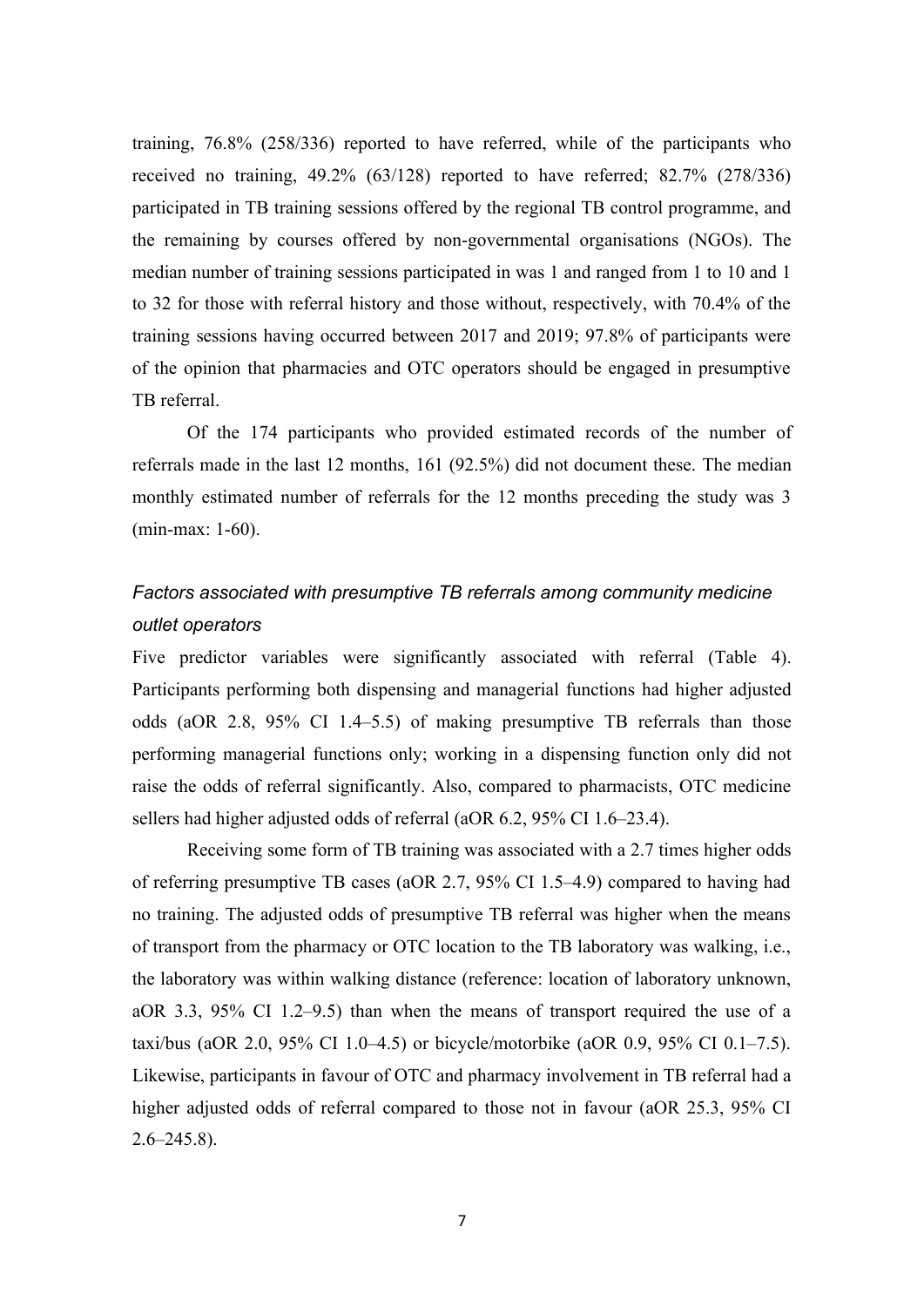training, 76.8% (258/336) reported to have referred, while of the participants who received no training, 49.2% (63/128) reported to have referred; 82.7% (278/336) participated in TB training sessions offered by the regional TB control programme, and the remaining by courses offered by non-governmental organisations (NGOs). The median number of training sessions participated in was 1 and ranged from 1 to 10 and 1 to 32 for those with referral history and those without, respectively, with 70.4% of the training sessions having occurred between 2017 and 2019; 97.8% of participants were of the opinion that pharmacies and OTC operators should be engaged in presumptive TB referral.

Of the 174 participants who provided estimated records of the number of referrals made in the last 12 months, 161 (92.5%) did not document these. The median monthly estimated number of referrals for the 12 months preceding the study was 3 (min-max: 1-60).

# *Factors associated with presumptive TB referrals among community medicine outlet operators*

Five predictor variables were significantly associated with referral (Table 4). Participants performing both dispensing and managerial functions had higher adjusted odds (aOR 2.8, 95% CI 1.4–5.5) of making presumptive TB referrals than those performing managerial functions only; working in a dispensing function only did not raise the odds of referral significantly. Also, compared to pharmacists, OTC medicine sellers had higher adjusted odds of referral (aOR 6.2, 95% CI 1.6–23.4).

Receiving some form of TB training was associated with a 2.7 times higher odds of referring presumptive TB cases (aOR 2.7, 95% CI 1.5–4.9) compared to having had no training. The adjusted odds of presumptive TB referral was higher when the means of transport from the pharmacy or OTC location to the TB laboratory was walking, i.e., the laboratory was within walking distance (reference: location of laboratory unknown, aOR 3.3, 95% CI 1.2–9.5) than when the means of transport required the use of a taxi/bus (aOR 2.0, 95% CI 1.0–4.5) or bicycle/motorbike (aOR 0.9, 95% CI 0.1–7.5). Likewise, participants in favour of OTC and pharmacy involvement in TB referral had a higher adjusted odds of referral compared to those not in favour (aOR 25.3, 95% CI  $2.6 - 245.8$ ).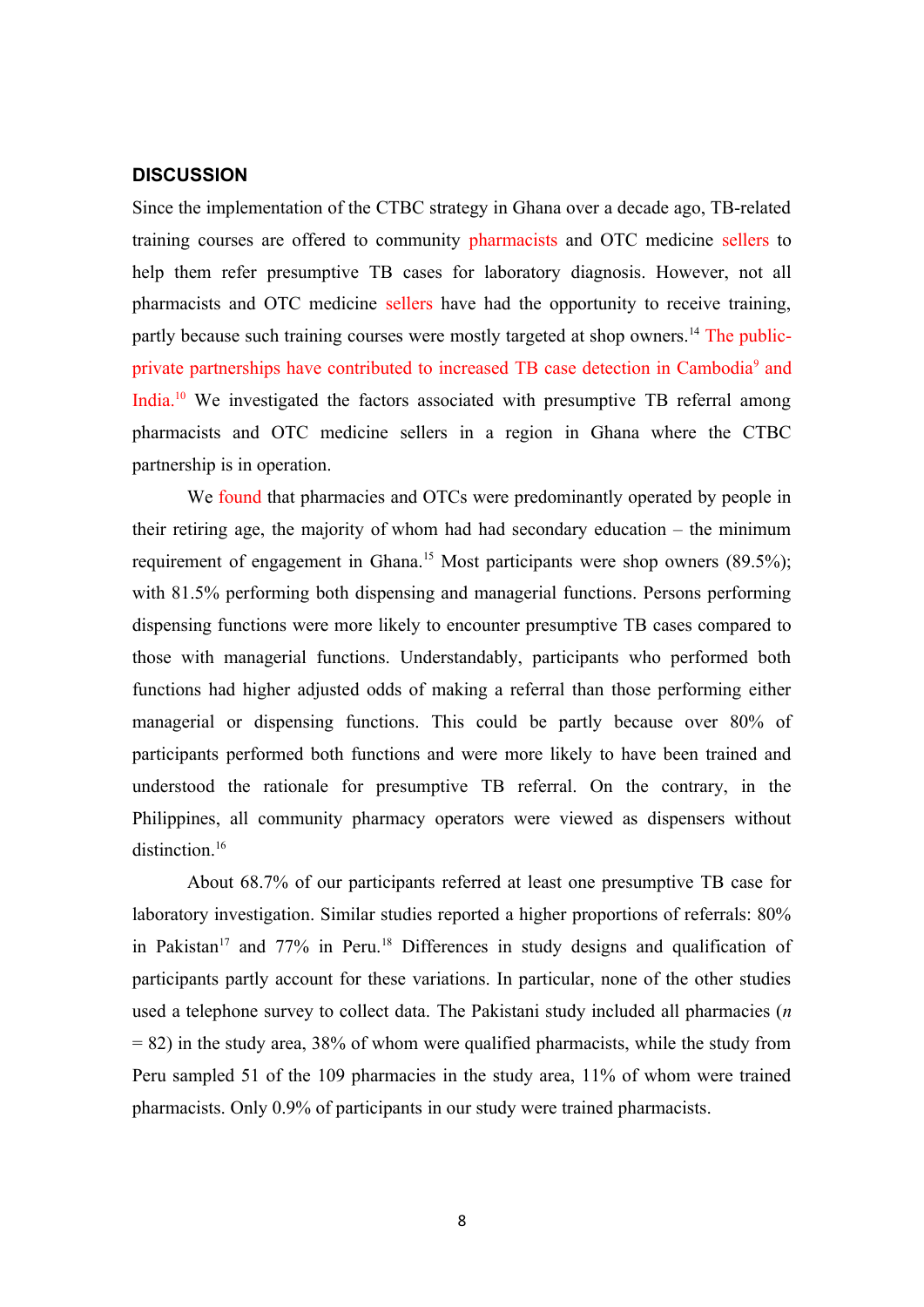#### **DISCUSSION**

Since the implementation of the CTBC strategy in Ghana over a decade ago, TB-related training courses are offered to community pharmacists and OTC medicine sellers to help them refer presumptive TB cases for laboratory diagnosis. However, not all pharmacists and OTC medicine sellers have had the opportunity to receive training, partly because such training courses were mostly targeted at shop owners.<sup>14</sup> The publicprivate partnerships have contributed to increased TB case detection in Cambodia<sup>9</sup> and India.<sup>10</sup> We investigated the factors associated with presumptive TB referral among pharmacists and OTC medicine sellers in a region in Ghana where the CTBC partnership is in operation.

We found that pharmacies and OTCs were predominantly operated by people in their retiring age, the majority of whom had had secondary education – the minimum requirement of engagement in Ghana.<sup>15</sup> Most participants were shop owners  $(89.5\%)$ ; with 81.5% performing both dispensing and managerial functions. Persons performing dispensing functions were more likely to encounter presumptive TB cases compared to those with managerial functions. Understandably, participants who performed both functions had higher adjusted odds of making a referral than those performing either managerial or dispensing functions. This could be partly because over 80% of participants performed both functions and were more likely to have been trained and understood the rationale for presumptive TB referral. On the contrary, in the Philippines, all community pharmacy operators were viewed as dispensers without distinction. 16

About 68.7% of our participants referred at least one presumptive TB case for laboratory investigation. Similar studies reported a higher proportions of referrals: 80% in Pakistan<sup>17</sup> and 77% in Peru.<sup>18</sup> Differences in study designs and qualification of participants partly account for these variations. In particular, none of the other studies used a telephone survey to collect data. The Pakistani study included all pharmacies (*n*  $= 82$ ) in the study area, 38% of whom were qualified pharmacists, while the study from Peru sampled 51 of the 109 pharmacies in the study area, 11% of whom were trained pharmacists. Only 0.9% of participants in our study were trained pharmacists.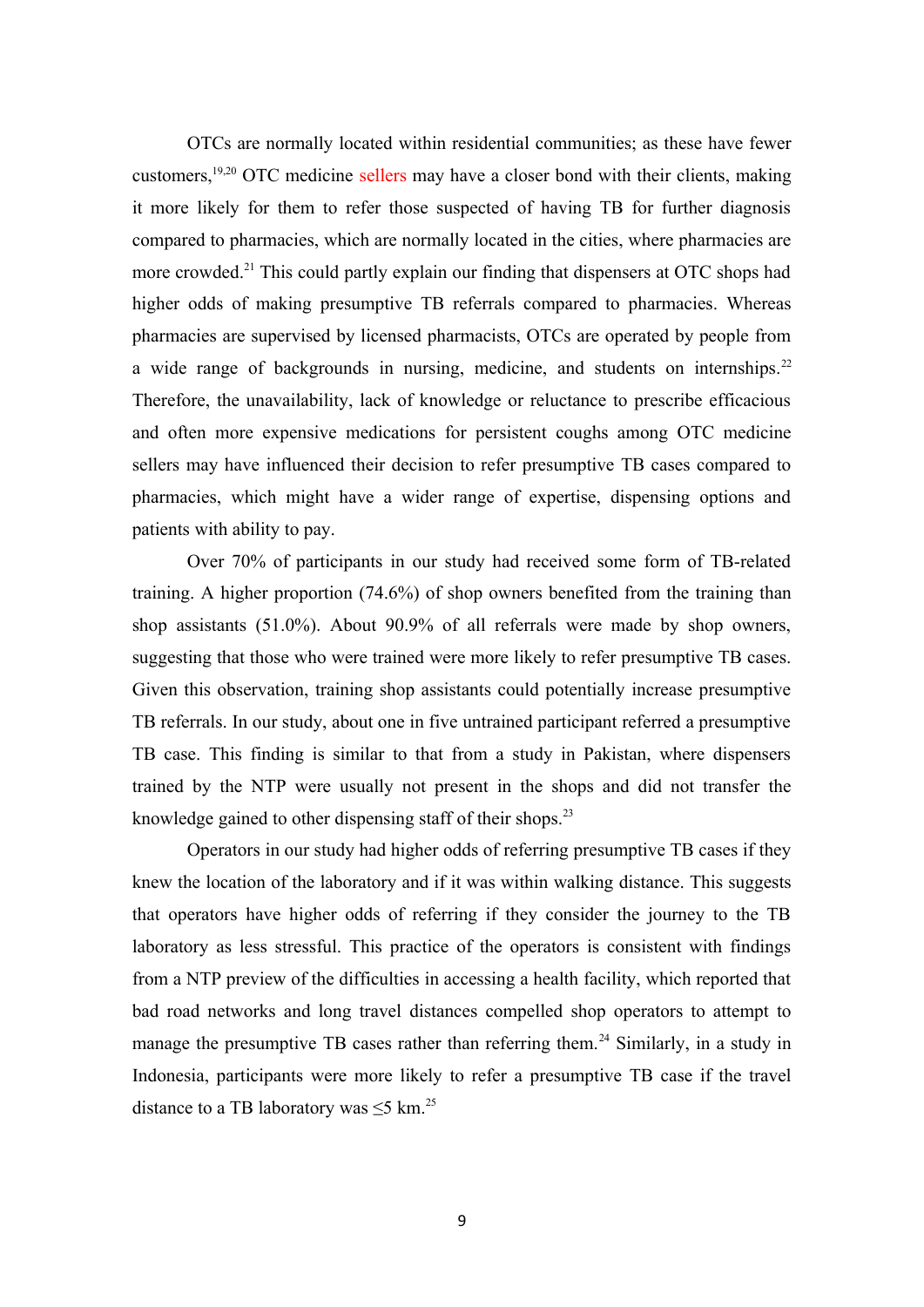OTCs are normally located within residential communities; as these have fewer customers,19,20 OTC medicine sellers may have a closer bond with their clients, making it more likely for them to refer those suspected of having TB for further diagnosis compared to pharmacies, which are normally located in the cities, where pharmacies are more crowded.<sup>21</sup> This could partly explain our finding that dispensers at OTC shops had higher odds of making presumptive TB referrals compared to pharmacies. Whereas pharmacies are supervised by licensed pharmacists, OTCs are operated by people from a wide range of backgrounds in nursing, medicine, and students on internships.<sup>22</sup> Therefore, the unavailability, lack of knowledge or reluctance to prescribe efficacious and often more expensive medications for persistent coughs among OTC medicine sellers may have influenced their decision to refer presumptive TB cases compared to pharmacies, which might have a wider range of expertise, dispensing options and patients with ability to pay.

Over 70% of participants in our study had received some form of TB-related training. A higher proportion (74.6%) of shop owners benefited from the training than shop assistants (51.0%). About 90.9% of all referrals were made by shop owners, suggesting that those who were trained were more likely to refer presumptive TB cases. Given this observation, training shop assistants could potentially increase presumptive TB referrals. In our study, about one in five untrained participant referred a presumptive TB case. This finding is similar to that from a study in Pakistan, where dispensers trained by the NTP were usually not present in the shops and did not transfer the knowledge gained to other dispensing staff of their shops.<sup>23</sup>

Operators in our study had higher odds of referring presumptive TB cases if they knew the location of the laboratory and if it was within walking distance. This suggests that operators have higher odds of referring if they consider the journey to the TB laboratory as less stressful. This practice of the operators is consistent with findings from a NTP preview of the difficulties in accessing a health facility, which reported that bad road networks and long travel distances compelled shop operators to attempt to manage the presumptive TB cases rather than referring them.<sup>24</sup> Similarly, in a study in Indonesia, participants were more likely to refer a presumptive TB case if the travel distance to a TB laboratory was  $\leq$ 5 km.<sup>25</sup>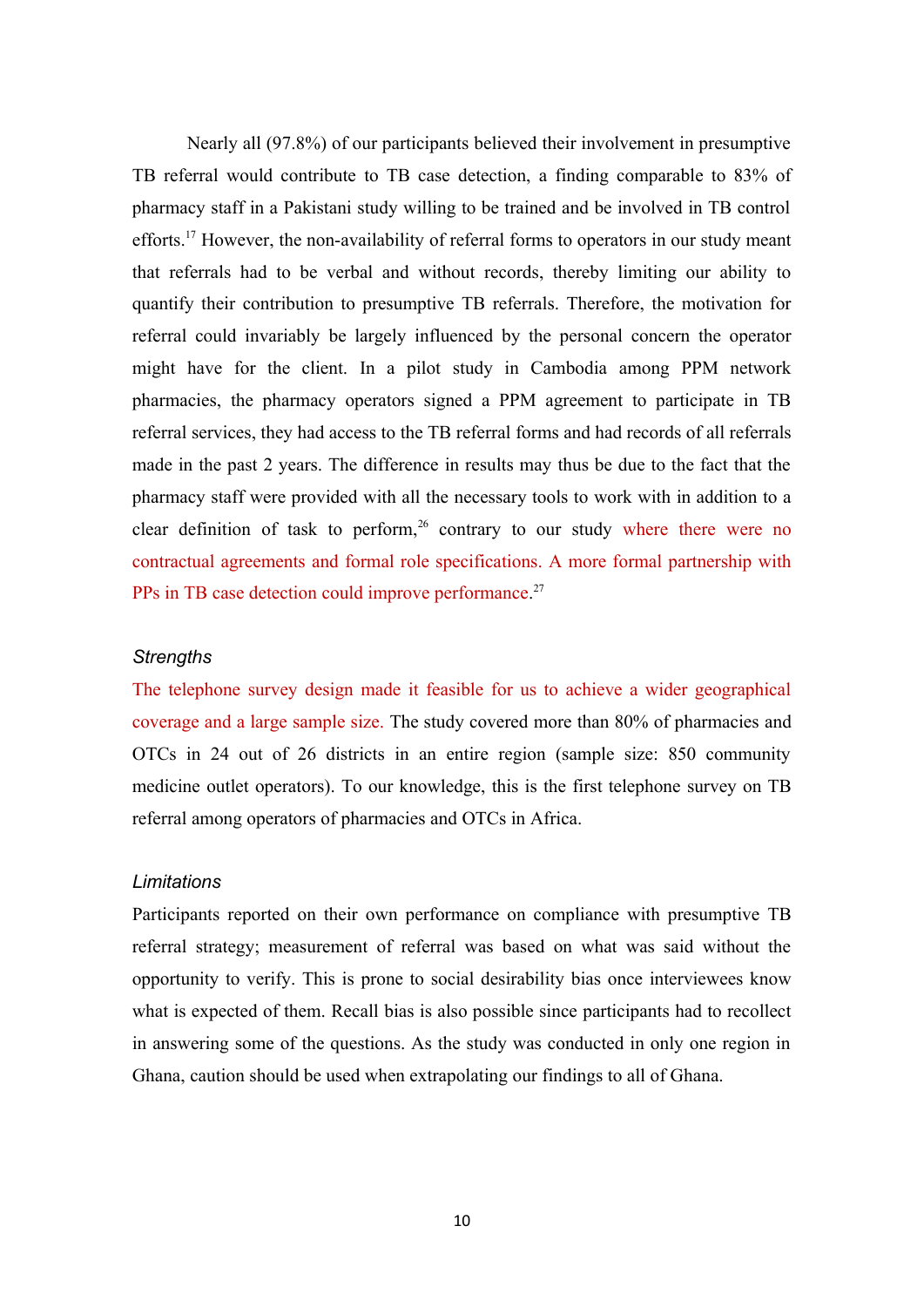Nearly all (97.8%) of our participants believed their involvement in presumptive TB referral would contribute to TB case detection, a finding comparable to 83% of pharmacy staff in a Pakistani study willing to be trained and be involved in TB control efforts.<sup>17</sup> However, the non-availability of referral forms to operators in our study meant that referrals had to be verbal and without records, thereby limiting our ability to quantify their contribution to presumptive TB referrals. Therefore, the motivation for referral could invariably be largely influenced by the personal concern the operator might have for the client. In a pilot study in Cambodia among PPM network pharmacies, the pharmacy operators signed a PPM agreement to participate in TB referral services, they had access to the TB referral forms and had records of all referrals made in the past 2 years. The difference in results may thus be due to the fact that the pharmacy staff were provided with all the necessary tools to work with in addition to a clear definition of task to perform,  $26$  contrary to our study where there were no contractual agreements and formal role specifications. A more formal partnership with PPs in TB case detection could improve performance.<sup>27</sup>

# *Strengths*

The telephone survey design made it feasible for us to achieve a wider geographical coverage and a large sample size. The study covered more than 80% of pharmacies and OTCs in 24 out of 26 districts in an entire region (sample size: 850 community medicine outlet operators). To our knowledge, this is the first telephone survey on TB referral among operators of pharmacies and OTCs in Africa.

# *Limitations*

Participants reported on their own performance on compliance with presumptive TB referral strategy; measurement of referral was based on what was said without the opportunity to verify. This is prone to social desirability bias once interviewees know what is expected of them. Recall bias is also possible since participants had to recollect in answering some of the questions. As the study was conducted in only one region in Ghana, caution should be used when extrapolating our findings to all of Ghana.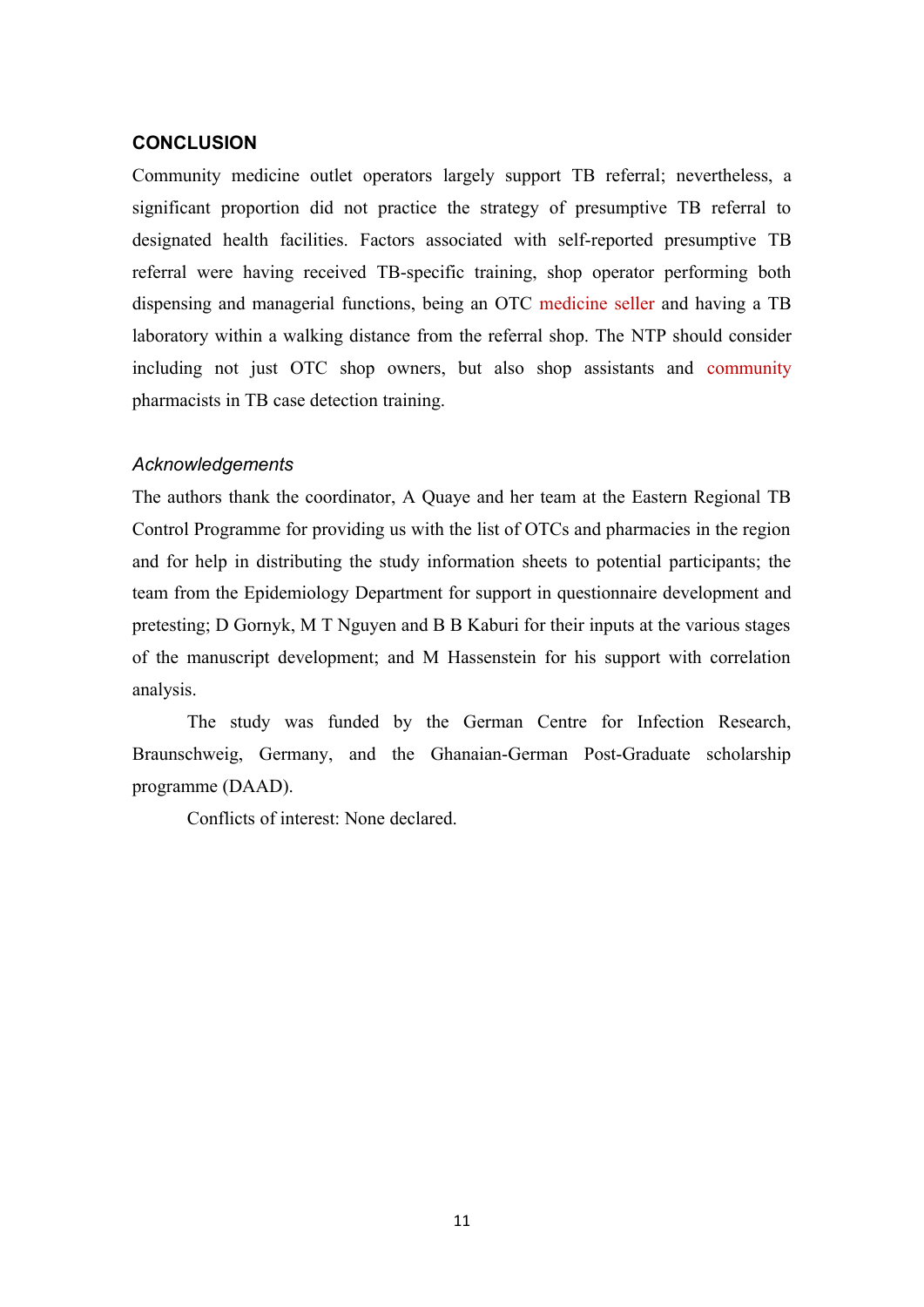# **CONCLUSION**

Community medicine outlet operators largely support TB referral; nevertheless, a significant proportion did not practice the strategy of presumptive TB referral to designated health facilities. Factors associated with self-reported presumptive TB referral were having received TB-specific training, shop operator performing both dispensing and managerial functions, being an OTC medicine seller and having a TB laboratory within a walking distance from the referral shop. The NTP should consider including not just OTC shop owners, but also shop assistants and community pharmacists in TB case detection training.

#### *Acknowledgements*

The authors thank the coordinator, A Quaye and her team at the Eastern Regional TB Control Programme for providing us with the list of OTCs and pharmacies in the region and for help in distributing the study information sheets to potential participants; the team from the Epidemiology Department for support in questionnaire development and pretesting; D Gornyk, M T Nguyen and B B Kaburi for their inputs at the various stages of the manuscript development; and M Hassenstein for his support with correlation analysis.

The study was funded by the German Centre for Infection Research, Braunschweig, Germany, and the Ghanaian-German Post-Graduate scholarship programme (DAAD).

Conflicts of interest: None declared.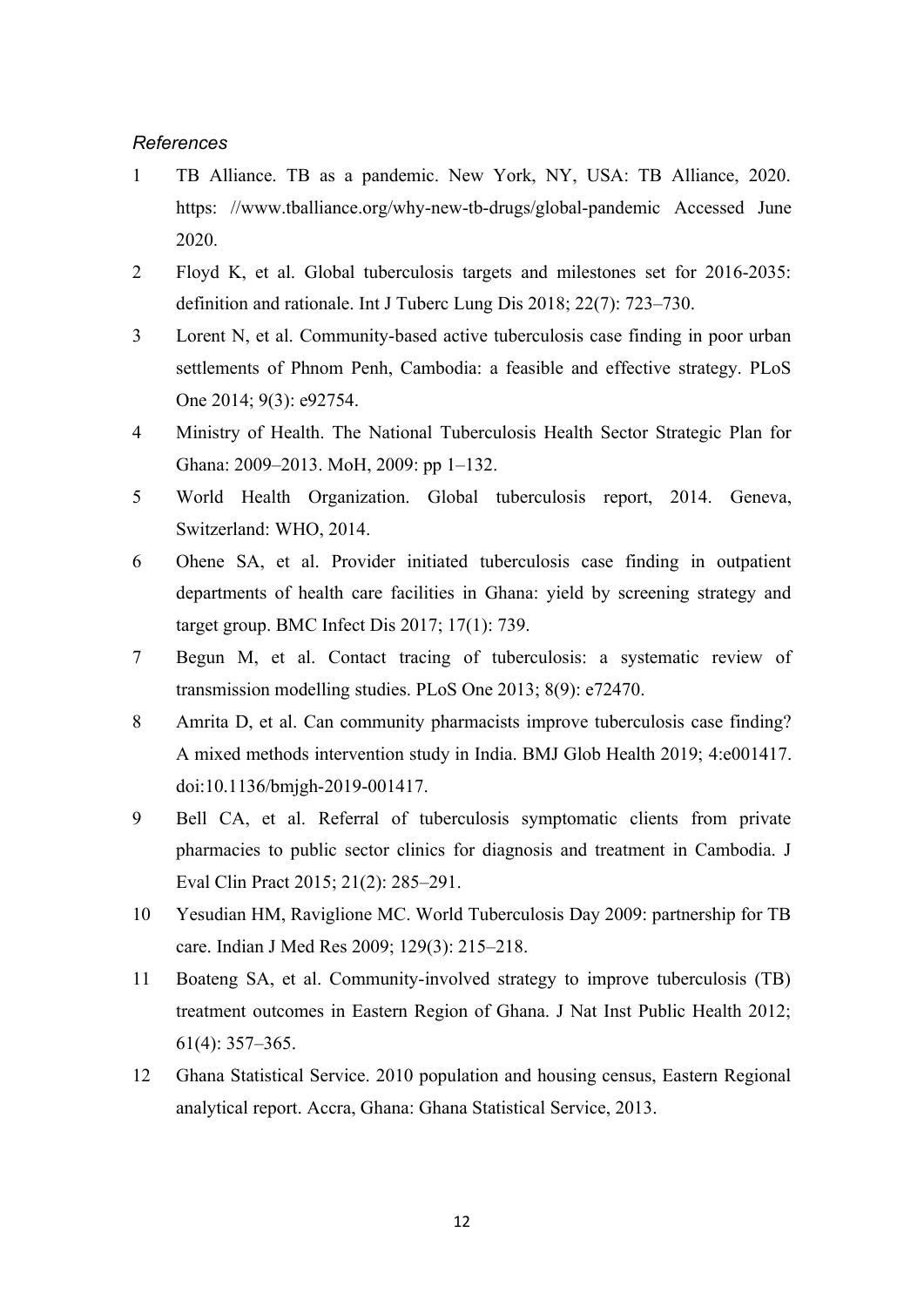# *References*

- 1 TB Alliance. TB as a pandemic. New York, NY, USA: TB Alliance, 2020. https: //www.tballiance.org/why-new-tb-drugs/global-pandemic Accessed June 2020.
- 2 Floyd K, et al. Global tuberculosis targets and milestones set for 2016-2035: definition and rationale. Int J Tuberc Lung Dis 2018; 22(7): 723–730.
- 3 Lorent N, et al. Community-based active tuberculosis case finding in poor urban settlements of Phnom Penh, Cambodia: a feasible and effective strategy. PLoS One 2014; 9(3): e92754.
- 4 Ministry of Health. The National Tuberculosis Health Sector Strategic Plan for Ghana: 2009–2013. MoH, 2009: pp 1–132.
- 5 World Health Organization. Global tuberculosis report, 2014. Geneva, Switzerland: WHO, 2014.
- 6 Ohene SA, et al. Provider initiated tuberculosis case finding in outpatient departments of health care facilities in Ghana: yield by screening strategy and target group. BMC Infect Dis 2017; 17(1): 739.
- 7 Begun M, et al. Contact tracing of tuberculosis: a systematic review of transmission modelling studies. PLoS One 2013; 8(9): e72470.
- 8 Amrita D, et al. Can community pharmacists improve tuberculosis case finding? A mixed methods intervention study in India. BMJ Glob Health 2019; 4:e001417. doi:10.1136/bmjgh-2019-001417.
- 9 Bell CA, et al. Referral of tuberculosis symptomatic clients from private pharmacies to public sector clinics for diagnosis and treatment in Cambodia. J Eval Clin Pract 2015; 21(2): 285–291.
- 10 Yesudian HM, Raviglione MC. World Tuberculosis Day 2009: partnership for TB care. Indian J Med Res 2009; 129(3): 215–218.
- 11 Boateng SA, et al. Community-involved strategy to improve tuberculosis (TB) treatment outcomes in Eastern Region of Ghana. J Nat Inst Public Health 2012; 61(4): 357–365.
- 12 Ghana Statistical Service. 2010 population and housing census, Eastern Regional analytical report. Accra, Ghana: Ghana Statistical Service, 2013.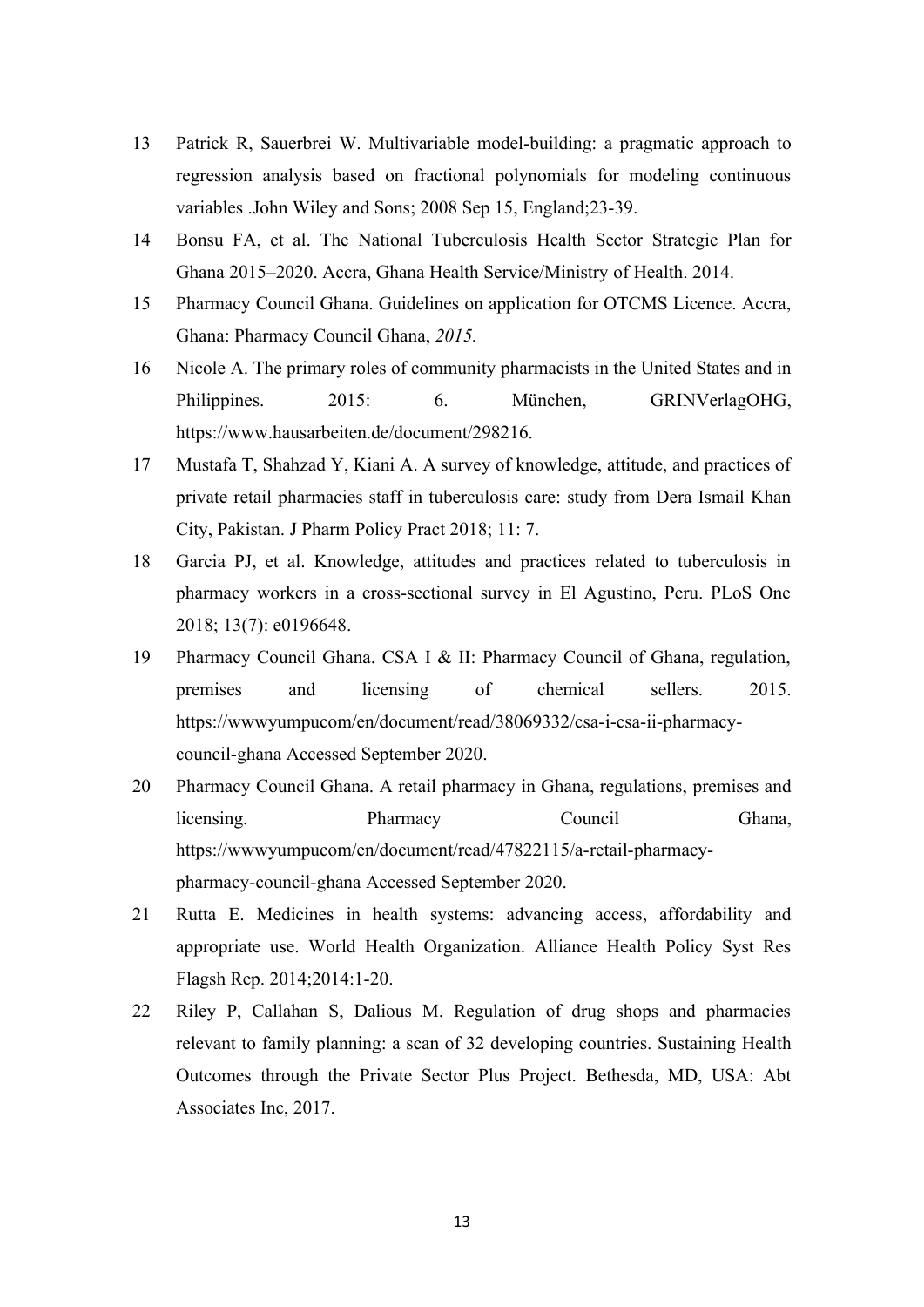- 13 Patrick R, Sauerbrei W. Multivariable model-building: a pragmatic approach to regression analysis based on fractional polynomials for modeling continuous variables .John Wiley and Sons; 2008 Sep 15, England;23-39.
- 14 Bonsu FA, et al. The National Tuberculosis Health Sector Strategic Plan for Ghana 2015–2020. Accra, Ghana Health Service/Ministry of Health. 2014.
- 15 Pharmacy Council Ghana. Guidelines on application for OTCMS Licence. Accra, Ghana: Pharmacy Council Ghana, *2015.*
- 16 Nicole A. The primary roles of community pharmacists in the United States and in Philippines. 2015: 6. München, GRINVerlagOHG, https://www.hausarbeiten.de/document/298216.
- 17 Mustafa T, Shahzad Y, Kiani A. A survey of knowledge, attitude, and practices of private retail pharmacies staff in tuberculosis care: study from Dera Ismail Khan City, Pakistan. J Pharm Policy Pract 2018; 11: 7.
- 18 Garcia PJ, et al. Knowledge, attitudes and practices related to tuberculosis in pharmacy workers in a cross-sectional survey in El Agustino, Peru. PLoS One 2018; 13(7): e0196648.
- 19 Pharmacy Council Ghana. CSA I & II: Pharmacy Council of Ghana, regulation, premises and licensing of chemical sellers. 2015. https://wwwyumpucom/en/document/read/38069332/csa-i-csa-ii-pharmacycouncil-ghana Accessed September 2020.
- 20 Pharmacy Council Ghana. A retail pharmacy in Ghana, regulations, premises and licensing. Pharmacy Council Ghana, https://wwwyumpucom/en/document/read/47822115/a-retail-pharmacypharmacy-council-ghana Accessed September 2020.
- 21 Rutta E. Medicines in health systems: advancing access, affordability and appropriate use. World Health Organization. Alliance Health Policy Syst Res Flagsh Rep. 2014;2014:1-20.
- 22 Riley P, Callahan S, Dalious M. Regulation of drug shops and pharmacies relevant to family planning: a scan of 32 developing countries. Sustaining Health Outcomes through the Private Sector Plus Project. Bethesda, MD, USA: Abt Associates Inc, 2017.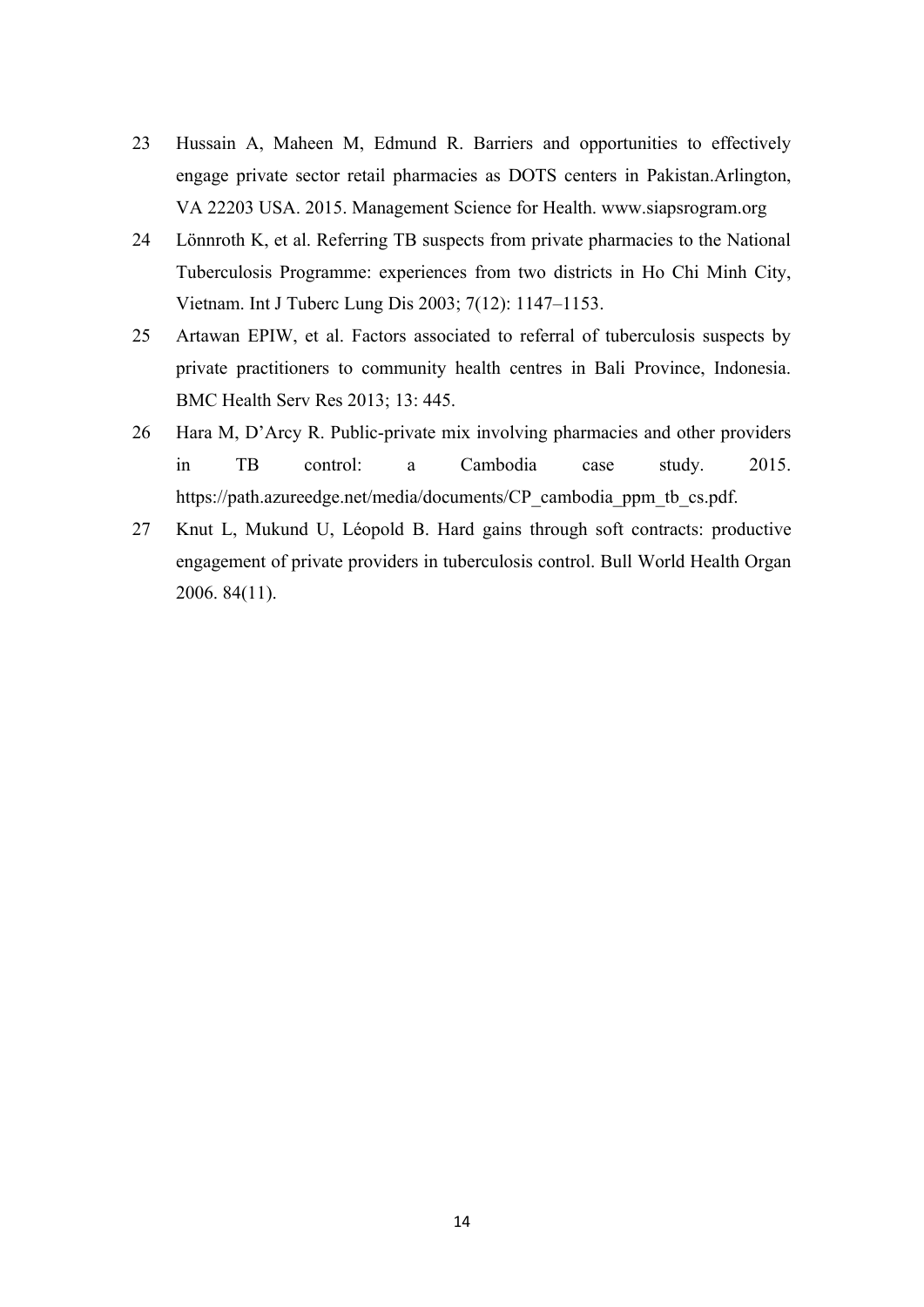- 23 Hussain A, Maheen M, Edmund R. Barriers and opportunities to effectively engage private sector retail pharmacies as DOTS centers in Pakistan.Arlington, VA 22203 USA. 2015. Management Science for Health. www.siapsrogram.org
- 24 Lönnroth K, et al. Referring TB suspects from private pharmacies to the National Tuberculosis Programme: experiences from two districts in Ho Chi Minh City, Vietnam. Int J Tuberc Lung Dis 2003; 7(12): 1147–1153.
- 25 Artawan EPIW, et al. Factors associated to referral of tuberculosis suspects by private practitioners to community health centres in Bali Province, Indonesia. BMC Health Serv Res 2013; 13: 445.
- 26 Hara M, D'Arcy R. Public-private mix involving pharmacies and other providers in TB control: a Cambodia case study. 2015. https://path.azureedge.net/media/documents/CP\_cambodia\_ppm\_tb\_cs.pdf.
- 27 Knut L, Mukund U, Léopold B. Hard gains through soft contracts: productive engagement of private providers in tuberculosis control. Bull World Health Organ 2006. 84(11).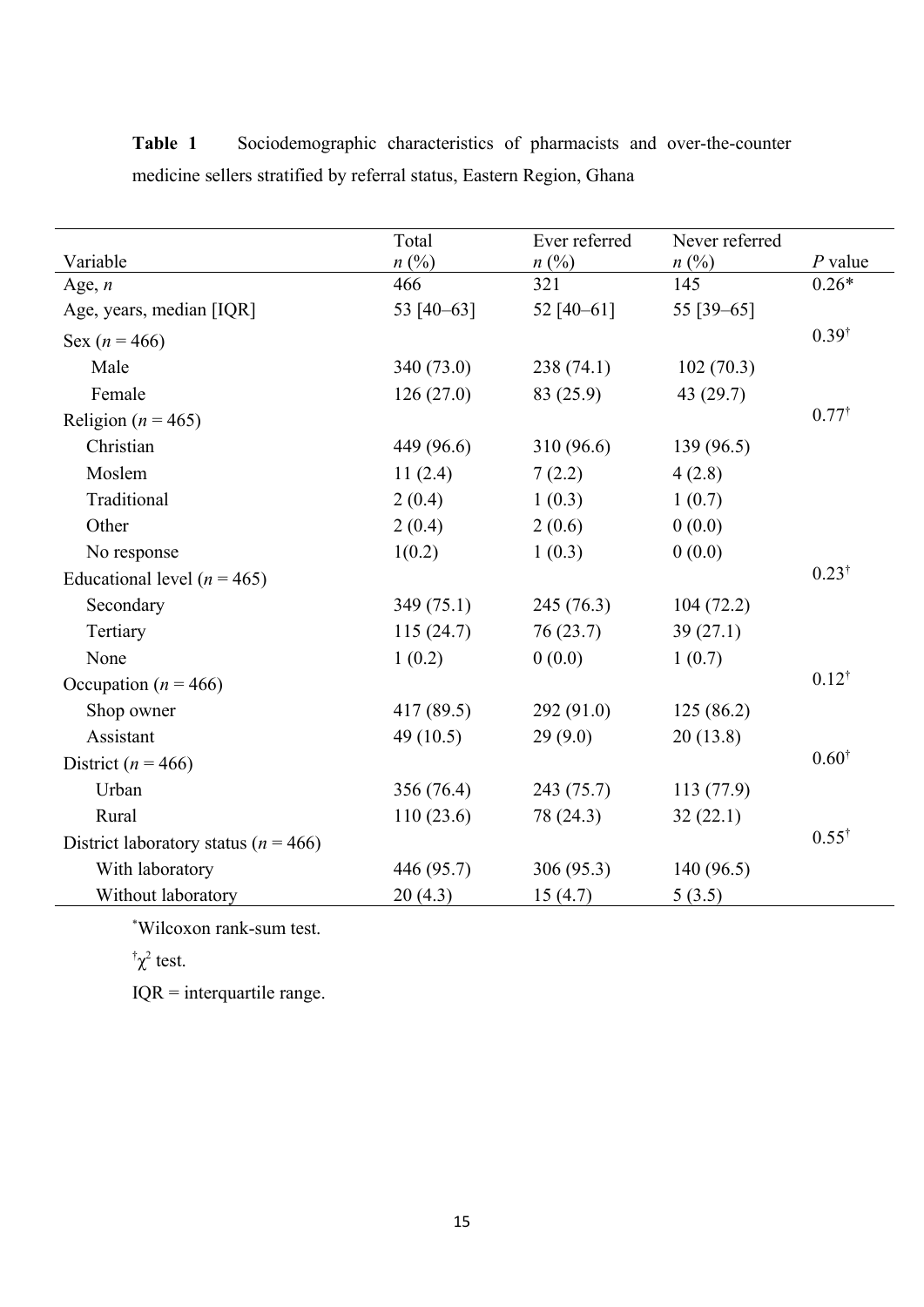|                                          | Total       | Ever referred | Never referred |                  |
|------------------------------------------|-------------|---------------|----------------|------------------|
| Variable                                 | $n\ (\%)$   | $n\ (\%)$     | $n\ (\%)$      | $P$ value        |
| Age, $n$                                 | 466         | 321           | 145            | $0.26*$          |
| Age, years, median [IQR]                 | 53 [40-63]  | 52 $[40-61]$  | 55 [39 - 65]   |                  |
| Sex ( $n = 466$ )                        |             |               |                | $0.39^{\dagger}$ |
| Male                                     | 340 (73.0)  | 238(74.1)     | 102(70.3)      |                  |
| Female                                   | 126(27.0)   | 83 (25.9)     | 43 $(29.7)$    |                  |
| Religion ( $n = 465$ )                   |             |               |                | $0.77^{\dagger}$ |
| Christian                                | 449 (96.6)  | 310 (96.6)    | 139 (96.5)     |                  |
| Moslem                                   | 11(2.4)     | 7(2.2)        | 4(2.8)         |                  |
| Traditional                              | 2(0.4)      | 1(0.3)        | 1(0.7)         |                  |
| Other                                    | 2(0.4)      | 2(0.6)        | 0(0.0)         |                  |
| No response                              | 1(0.2)      | 1(0.3)        | 0(0.0)         |                  |
| Educational level ( $n = 465$ )          |             |               |                | $0.23^{\dagger}$ |
| Secondary                                | 349(75.1)   | 245 (76.3)    | 104(72.2)      |                  |
| Tertiary                                 | 115(24.7)   | 76(23.7)      | 39(27.1)       |                  |
| None                                     | 1(0.2)      | 0(0.0)        | 1(0.7)         |                  |
| Occupation ( $n = 466$ )                 |             |               |                | $0.12^{\dagger}$ |
| Shop owner                               | 417 (89.5)  | 292(91.0)     | 125(86.2)      |                  |
| Assistant                                | 49 $(10.5)$ | 29(9.0)       | 20(13.8)       |                  |
| District ( $n = 466$ )                   |             |               |                | $0.60^{\dagger}$ |
| Urban                                    | 356 (76.4)  | 243 (75.7)    | 113 (77.9)     |                  |
| Rural                                    | 110(23.6)   | 78 (24.3)     | 32(22.1)       |                  |
| District laboratory status ( $n = 466$ ) |             |               |                | $0.55^{\dagger}$ |
| With laboratory                          | 446 (95.7)  | 306(95.3)     | 140(96.5)      |                  |
| Without laboratory                       | 20(4.3)     | 15(4.7)       | 5(3.5)         |                  |

Table 1 Sociodemographic characteristics of pharmacists and over-the-counter medicine sellers stratified by referral status, Eastern Region, Ghana

\*Wilcoxon rank-sum test.

 $\int \chi^2$  test.

IQR = interquartile range.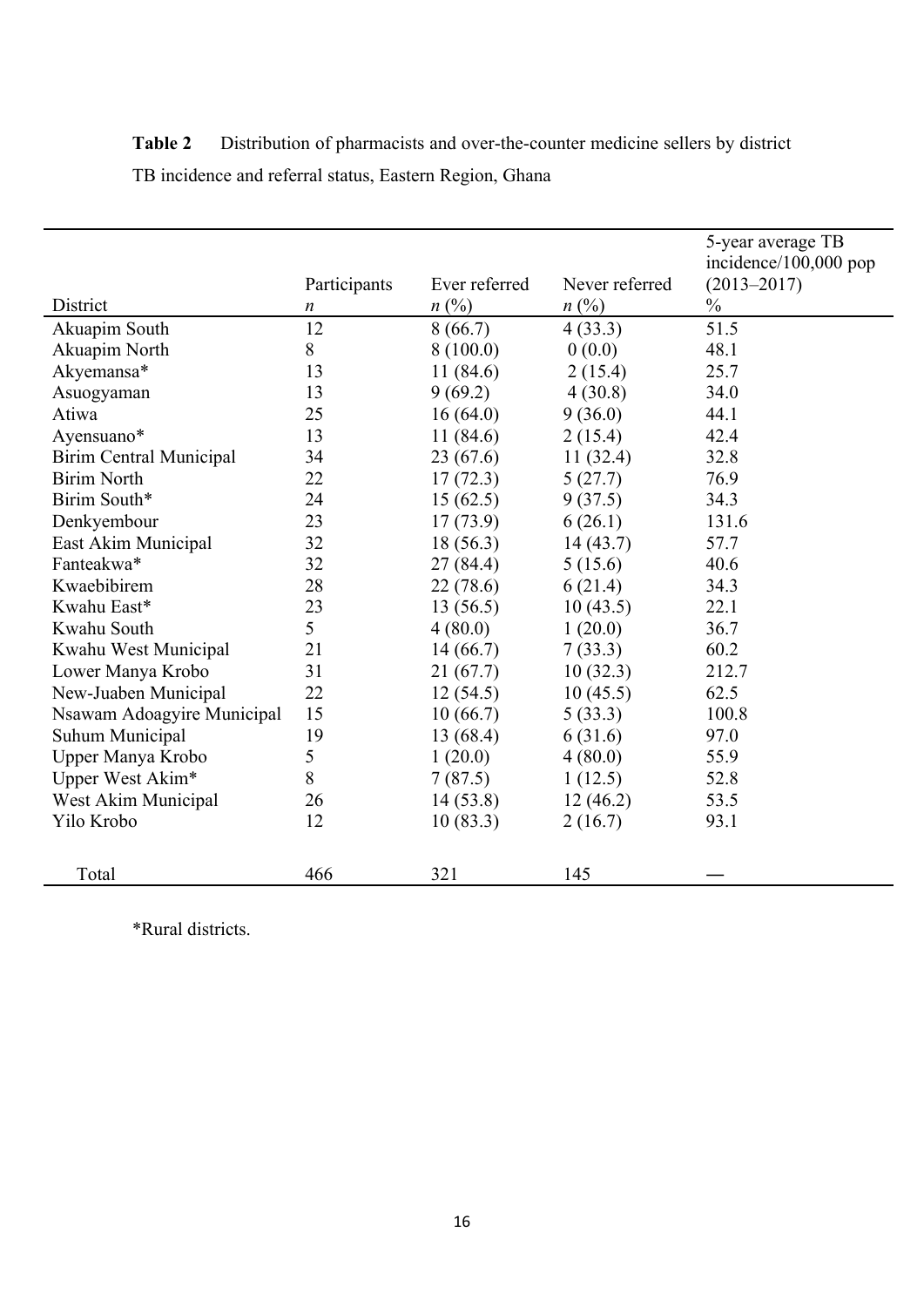| District                       | Participants<br>$\boldsymbol{n}$ | Ever referred<br>$n(^{0}/_{0})$ | Never referred<br>$n\ (\%)$ | 5-year average TB<br>incidence/100,000 pop<br>$(2013 - 2017)$<br>$\frac{0}{0}$ |
|--------------------------------|----------------------------------|---------------------------------|-----------------------------|--------------------------------------------------------------------------------|
| Akuapim South                  | 12                               | 8(66.7)                         | 4(33.3)                     | 51.5                                                                           |
| Akuapim North                  | 8                                | 8(100.0)                        | 0(0.0)                      | 48.1                                                                           |
| Akyemansa*                     | 13                               | 11(84.6)                        | 2(15.4)                     | 25.7                                                                           |
| Asuogyaman                     | 13                               | 9(69.2)                         | 4(30.8)                     | 34.0                                                                           |
| Atiwa                          | 25                               | 16(64.0)                        | 9(36.0)                     | 44.1                                                                           |
| Ayensuano*                     | 13                               | 11(84.6)                        | 2(15.4)                     | 42.4                                                                           |
| <b>Birim Central Municipal</b> | 34                               | 23(67.6)                        | 11(32.4)                    | 32.8                                                                           |
| <b>Birim North</b>             | 22                               | 17(72.3)                        | 5(27.7)                     | 76.9                                                                           |
| Birim South*                   | 24                               | 15(62.5)                        | 9(37.5)                     | 34.3                                                                           |
| Denkyembour                    | 23                               | 17(73.9)                        | 6(26.1)                     | 131.6                                                                          |
| East Akim Municipal            | 32                               | 18(56.3)                        | 14(43.7)                    | 57.7                                                                           |
| Fanteakwa*                     | 32                               | 27(84.4)                        | 5(15.6)                     | 40.6                                                                           |
| Kwaebibirem                    | 28                               | 22 (78.6)                       | 6(21.4)                     | 34.3                                                                           |
| Kwahu East*                    | 23                               | 13(56.5)                        | 10(43.5)                    | 22.1                                                                           |
| Kwahu South                    | 5                                | 4(80.0)                         | 1(20.0)                     | 36.7                                                                           |
| Kwahu West Municipal           | 21                               | 14(66.7)                        | 7(33.3)                     | 60.2                                                                           |
| Lower Manya Krobo              | 31                               | 21(67.7)                        | 10(32.3)                    | 212.7                                                                          |
| New-Juaben Municipal           | 22                               | 12(54.5)                        | 10(45.5)                    | 62.5                                                                           |
| Nsawam Adoagyire Municipal     | 15                               | 10(66.7)                        | 5(33.3)                     | 100.8                                                                          |
| Suhum Municipal                | 19                               | 13(68.4)                        | 6(31.6)                     | 97.0                                                                           |
| Upper Manya Krobo              | 5                                | 1(20.0)                         | 4(80.0)                     | 55.9                                                                           |
| Upper West Akim*               | 8                                | 7(87.5)                         | 1(12.5)                     | 52.8                                                                           |
| West Akim Municipal            | 26                               | 14(53.8)                        | 12(46.2)                    | 53.5                                                                           |
| Yilo Krobo                     | 12                               | 10(83.3)                        | 2(16.7)                     | 93.1                                                                           |
| Total                          | 466                              | 321                             | 145                         |                                                                                |

Table 2 **Distribution of pharmacists and over-the-counter medicine sellers by district** TB incidence and referral status, Eastern Region, Ghana

\*Rural districts.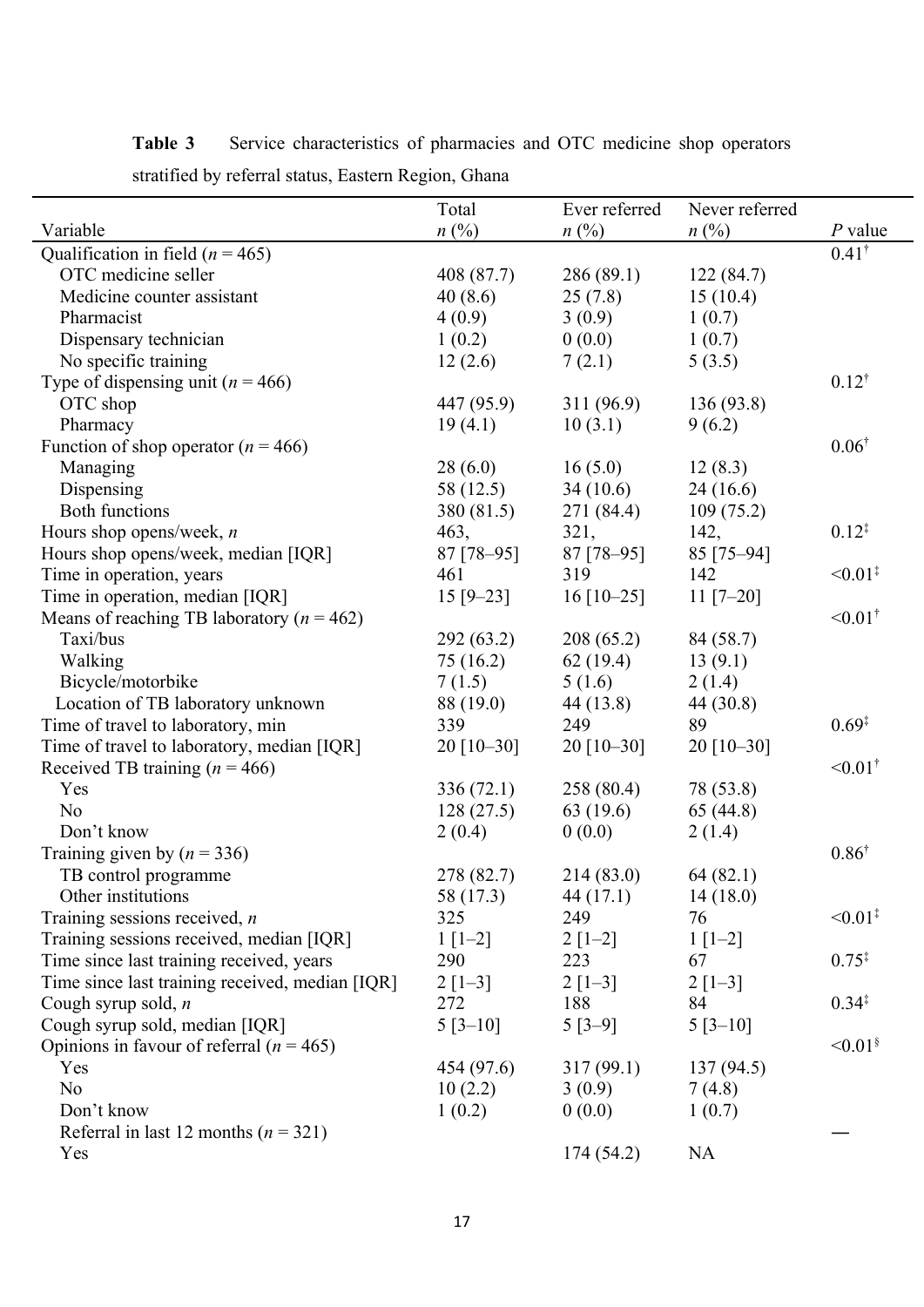|                                                 | Total             | Ever referred           | Never referred    |                          |
|-------------------------------------------------|-------------------|-------------------------|-------------------|--------------------------|
| Variable                                        | $n(^{0}\!\!/\!o)$ | $n(^{0}/_{0})$          | $n(^{0}\!\!/\!o)$ | $P$ value                |
| Qualification in field ( $n = 465$ )            |                   |                         |                   | $0.41^{\dagger}$         |
| OTC medicine seller                             | 408 (87.7)        | 286(89.1)               | 122(84.7)         |                          |
| Medicine counter assistant                      | 40(8.6)           | 25(7.8)                 | 15(10.4)          |                          |
| Pharmacist                                      | 4(0.9)            | 3(0.9)                  | 1(0.7)            |                          |
| Dispensary technician                           | 1(0.2)            | 0(0.0)                  | 1(0.7)            |                          |
| No specific training                            | 12(2.6)           | 7(2.1)                  | 5(3.5)            |                          |
| Type of dispensing unit ( $n = 466$ )           |                   |                         |                   | $0.12^{\dagger}$         |
| OTC shop                                        | 447 (95.9)        | 311 (96.9)              | 136(93.8)         |                          |
| Pharmacy                                        | 19(4.1)           | 10(3.1)                 | 9(6.2)            |                          |
| Function of shop operator ( $n = 466$ )         |                   |                         |                   | $0.06^{\dagger}$         |
| Managing                                        | 28(6.0)           | 16(5.0)                 | 12(8.3)           |                          |
| Dispensing                                      | 58 (12.5)         | 34(10.6)                | 24(16.6)          |                          |
| <b>Both functions</b>                           | 380 (81.5)        | 271 (84.4)              | 109(75.2)         |                          |
| Hours shop opens/week, $n$                      | 463,              | 321,                    | 142,              | $0.12^{4}$               |
| Hours shop opens/week, median [IQR]             | 87 [78-95]        | 87 [78-95]              | 85 [75-94]        |                          |
| Time in operation, years                        | 461               | 319                     | 142               | $\leq 0.01^{\ddagger}$   |
| Time in operation, median [IQR]                 | $15 [9 - 23]$     | $16$ [10-25]            | $11 [7 - 20]$     |                          |
| Means of reaching TB laboratory ( $n = 462$ )   |                   |                         |                   | $< 0.01^{\dagger}$       |
| Taxi/bus                                        | 292 (63.2)        | 208(65.2)               | 84 (58.7)         |                          |
| Walking                                         | 75 (16.2)         | 62(19.4)                | 13(9.1)           |                          |
| Bicycle/motorbike                               | 7(1.5)            | 5(1.6)                  | 2(1.4)            |                          |
| Location of TB laboratory unknown               | 88 (19.0)         | 44 (13.8)               | 44 (30.8)         |                          |
| Time of travel to laboratory, min               | 339               | 249                     | 89                | $0.69*$                  |
| Time of travel to laboratory, median [IQR]      | $20$ [10-30]      | $20$ [10-30]            | $20$ [10-30]      |                          |
| Received TB training ( $n = 466$ )              |                   |                         |                   | $< 0.01^{\dagger}$       |
| Yes                                             | 336 (72.1)        | 258 (80.4)              | 78 (53.8)         |                          |
| N <sub>o</sub>                                  | 128(27.5)         | 63(19.6)                | 65(44.8)          |                          |
| Don't know                                      | 2(0.4)            | 0(0.0)                  | 2(1.4)            |                          |
| Training given by $(n = 336)$                   |                   |                         |                   | $0.86^{\dagger}$         |
| TB control programme                            | 278 (82.7)        | 214 (83.0)              | 64(82.1)          |                          |
| Other institutions                              | 58 (17.3)         | 44(17.1)                | 14(18.0)          |                          |
| Training sessions received, $n$                 | 325               | 249                     | 76                | $\leq 0.01^{\ddagger}$   |
| Training sessions received, median [IQR]        | $1 \mid [-2]$     | $2[1-2]$                | $1[1-2]$          |                          |
| Time since last training received, years        | 290               | 223                     | 67                | $0.75*$                  |
| Time since last training received, median [IQR] | $2[1-3]$          | $2 \lfloor 1-3 \rfloor$ | $2[1-3]$          |                          |
| Cough syrup sold, $n$                           | 272               | 188                     | 84                | $0.34^{\ddagger}$        |
| Cough syrup sold, median [IQR]                  | $5[3-10]$         | $5[3-9]$                | $5[3-10]$         |                          |
| Opinions in favour of referral ( $n = 465$ )    |                   |                         |                   | $\leq 0.01$ <sup>§</sup> |
| Yes                                             | 454 (97.6)        | 317(99.1)               | 137(94.5)         |                          |
| N <sub>o</sub>                                  | 10(2.2)           | 3(0.9)                  | 7(4.8)            |                          |
| Don't know                                      | 1(0.2)            | 0(0.0)                  | 1(0.7)            |                          |
| Referral in last 12 months ( $n = 321$ )        |                   |                         |                   |                          |
| Yes                                             |                   | 174 (54.2)              | <b>NA</b>         |                          |

Table 3 **Service characteristics of pharmacies and OTC medicine shop operators** stratified by referral status, Eastern Region, Ghana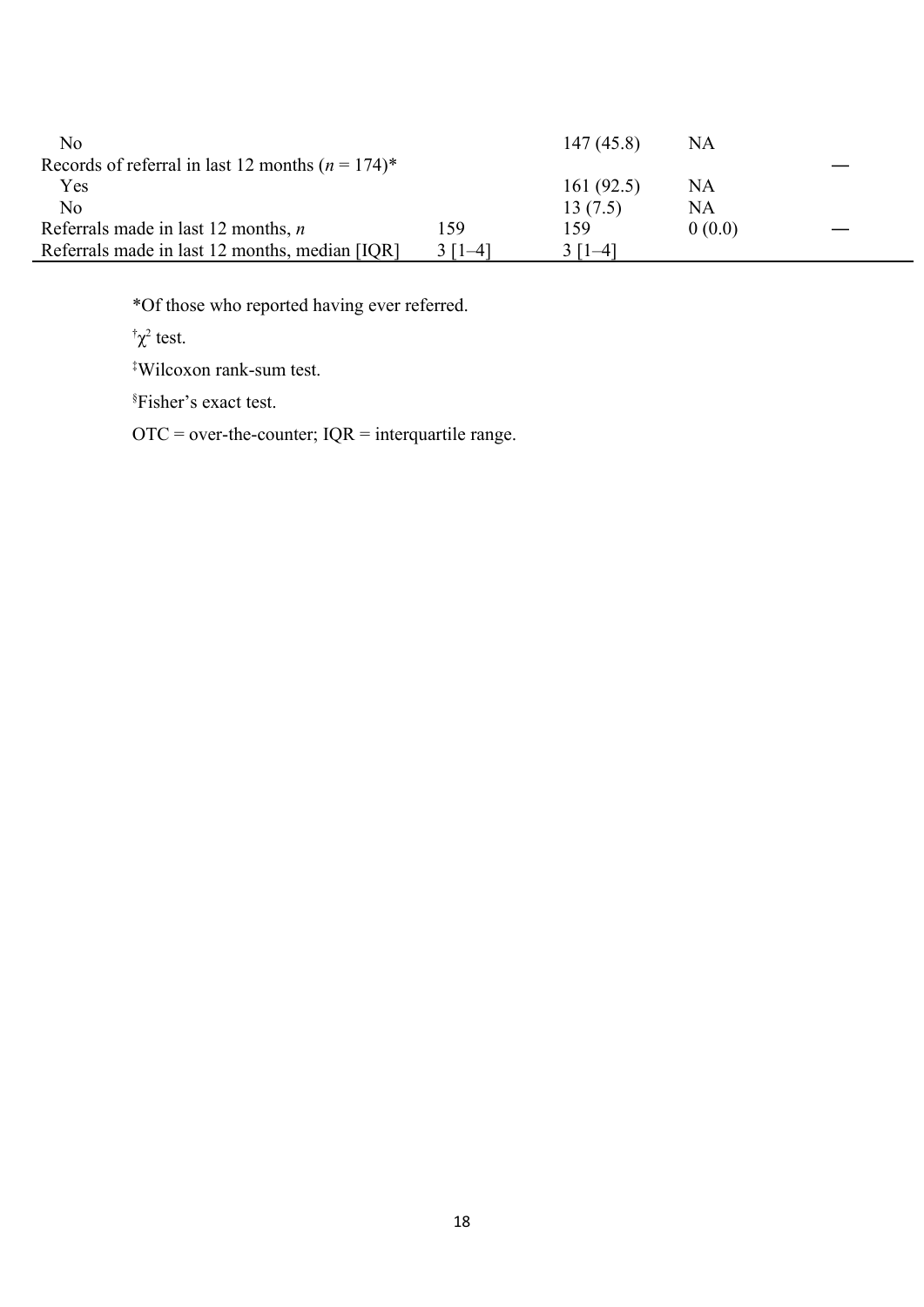| No                                                  |           | 147(45.8)    | <b>NA</b> |
|-----------------------------------------------------|-----------|--------------|-----------|
| Records of referral in last 12 months $(n = 174)^*$ |           |              |           |
| Yes                                                 |           | 161 $(92.5)$ | NA        |
| No                                                  |           | 13(7.5)      | NA        |
| Referrals made in last 12 months, $n$               | 159       | 159          | 0(0.0)    |
| Referrals made in last 12 months, median [IQR]      | 3 $[1-4]$ | $ \_4 $      |           |

\*Of those who reported having ever referred.

 $\int \chi^2$  test.

‡Wilcoxon rank-sum test.

§Fisher's exact test.

 $\overline{OTC}$  = over-the-counter;  $IQR$  = interquartile range.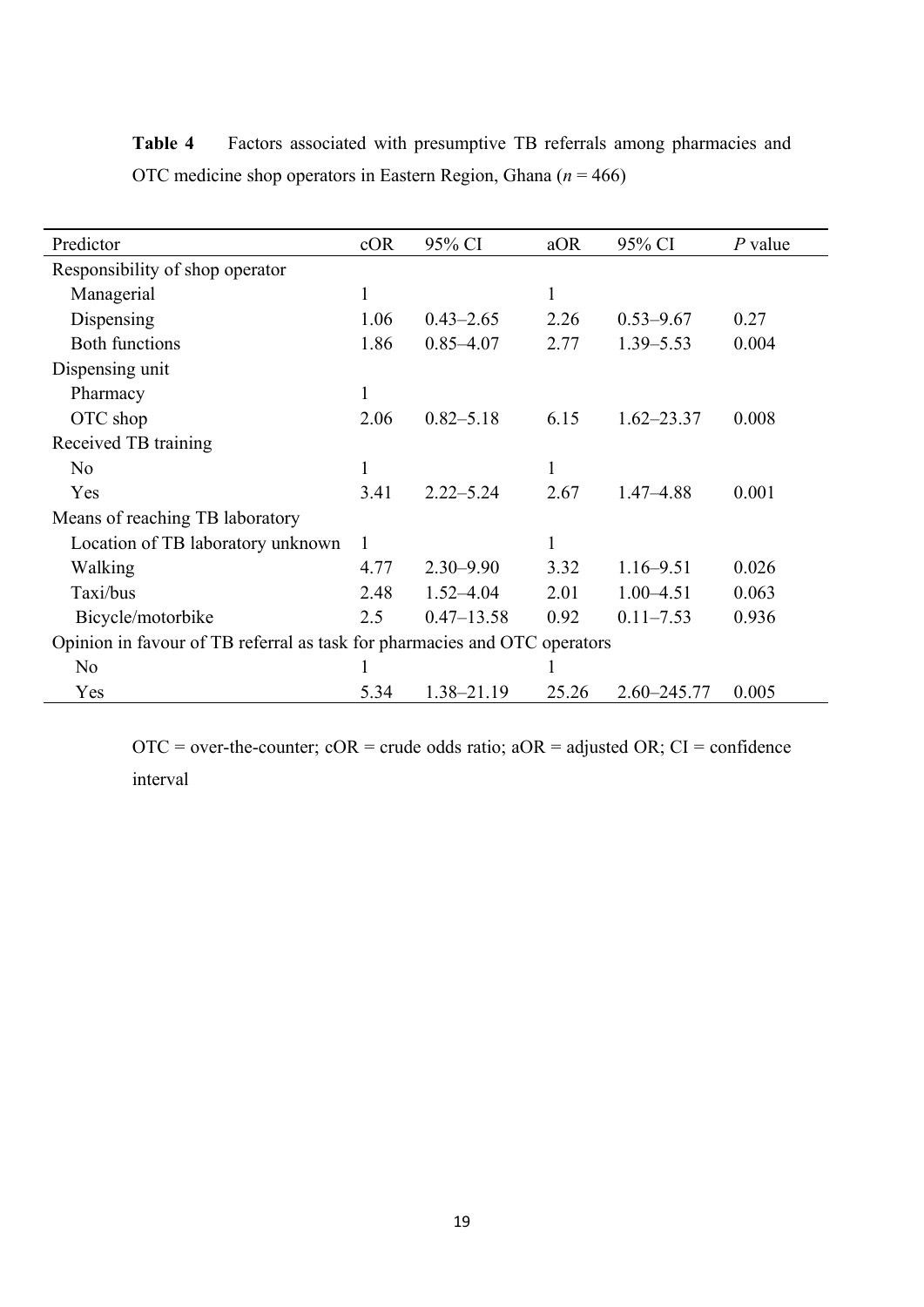| Predictor                                                                 | cOR          | 95% CI         | aOR          | 95% CI          | P value |
|---------------------------------------------------------------------------|--------------|----------------|--------------|-----------------|---------|
| Responsibility of shop operator                                           |              |                |              |                 |         |
| Managerial                                                                | $\mathbf{1}$ |                | $\mathbf{1}$ |                 |         |
| Dispensing                                                                | 1.06         | $0.43 - 2.65$  | 2.26         | $0.53 - 9.67$   | 0.27    |
| <b>Both functions</b>                                                     | 1.86         | $0.85 - 4.07$  | 2.77         | $1.39 - 5.53$   | 0.004   |
| Dispensing unit                                                           |              |                |              |                 |         |
| Pharmacy                                                                  | $\mathbf{1}$ |                |              |                 |         |
| OTC shop                                                                  | 2.06         | $0.82 - 5.18$  | 6.15         | $1.62 - 23.37$  | 0.008   |
| Received TB training                                                      |              |                |              |                 |         |
| N <sub>o</sub>                                                            | $\mathbf{1}$ |                | 1            |                 |         |
| Yes                                                                       | 3.41         | $2.22 - 5.24$  | 2.67         | $1.47 - 4.88$   | 0.001   |
| Means of reaching TB laboratory                                           |              |                |              |                 |         |
| Location of TB laboratory unknown                                         | 1            |                | 1            |                 |         |
| Walking                                                                   | 4.77         | $2.30 - 9.90$  | 3.32         | $1.16 - 9.51$   | 0.026   |
| Taxi/bus                                                                  | 2.48         | $1.52 - 4.04$  | 2.01         | $1.00 - 4.51$   | 0.063   |
| Bicycle/motorbike                                                         | 2.5          | $0.47 - 13.58$ | 0.92         | $0.11 - 7.53$   | 0.936   |
| Opinion in favour of TB referral as task for pharmacies and OTC operators |              |                |              |                 |         |
| N <sub>o</sub>                                                            |              |                |              |                 |         |
| Yes                                                                       | 5.34         | 1.38-21.19     | 25.26        | $2.60 - 245.77$ | 0.005   |

Table 4 **Factors associated with presumptive TB referrals among pharmacies and** OTC medicine shop operators in Eastern Region, Ghana (*n* = 466)

 $\overline{OTC}$  = over-the-counter;  $\overline{cOR}$  = crude odds ratio;  $aOR$  = adjusted  $OR$ ;  $CI$  = confidence interval